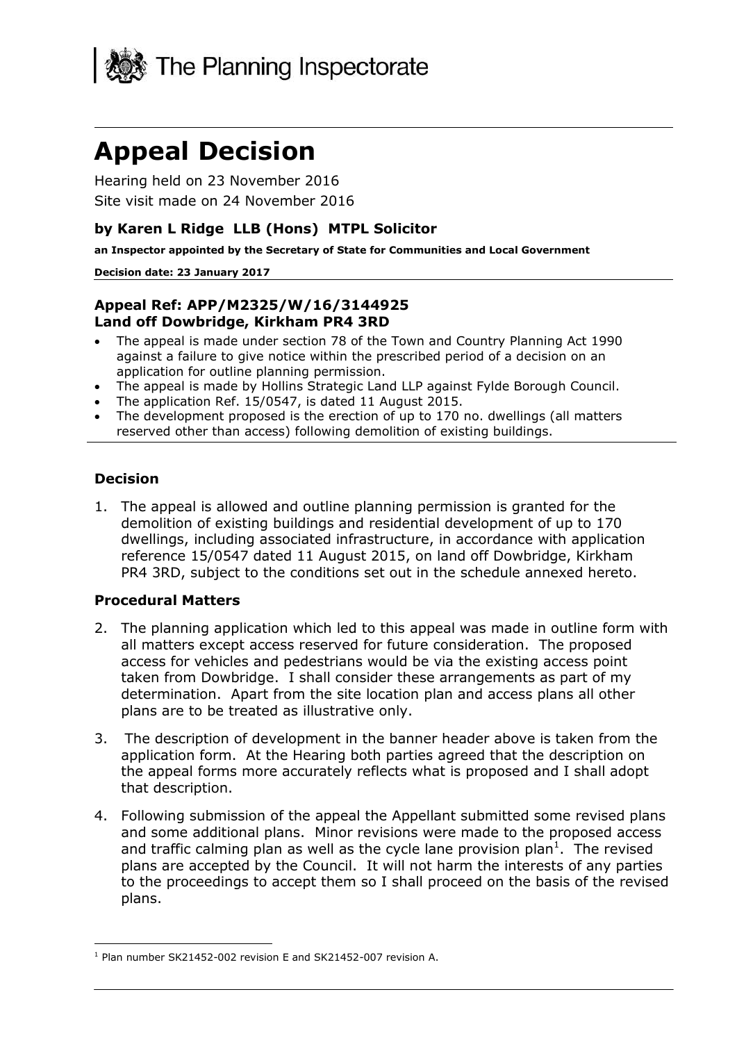

# **Appeal Decision**

Hearing held on 23 November 2016 Site visit made on 24 November 2016

### **by Karen L Ridge LLB (Hons) MTPL Solicitor**

**an Inspector appointed by the Secretary of State for Communities and Local Government**

#### **Decision date: 23 January 2017**

#### **Appeal Ref: APP/M2325/W/16/3144925 Land off Dowbridge, Kirkham PR4 3RD**

- The appeal is made under section 78 of the Town and Country Planning Act 1990 against a failure to give notice within the prescribed period of a decision on an application for outline planning permission.
- The appeal is made by Hollins Strategic Land LLP against Fylde Borough Council.
- The application Ref. 15/0547, is dated 11 August 2015.
- The development proposed is the erection of up to 170 no. dwellings (all matters reserved other than access) following demolition of existing buildings.

#### **Decision**

1. The appeal is allowed and outline planning permission is granted for the demolition of existing buildings and residential development of up to 170 dwellings, including associated infrastructure, in accordance with application reference 15/0547 dated 11 August 2015, on land off Dowbridge, Kirkham PR4 3RD, subject to the conditions set out in the schedule annexed hereto.

#### **Procedural Matters**

- 2. The planning application which led to this appeal was made in outline form with all matters except access reserved for future consideration. The proposed access for vehicles and pedestrians would be via the existing access point taken from Dowbridge. I shall consider these arrangements as part of my determination. Apart from the site location plan and access plans all other plans are to be treated as illustrative only.
- 3. The description of development in the banner header above is taken from the application form. At the Hearing both parties agreed that the description on the appeal forms more accurately reflects what is proposed and I shall adopt that description.
- 4. Following submission of the appeal the Appellant submitted some revised plans and some additional plans. Minor revisions were made to the proposed access and traffic calming plan as well as the cycle lane provision plan<sup>1</sup>. The revised plans are accepted by the Council. It will not harm the interests of any parties to the proceedings to accept them so I shall proceed on the basis of the revised plans.

j <sup>1</sup> Plan number SK21452-002 revision E and SK21452-007 revision A.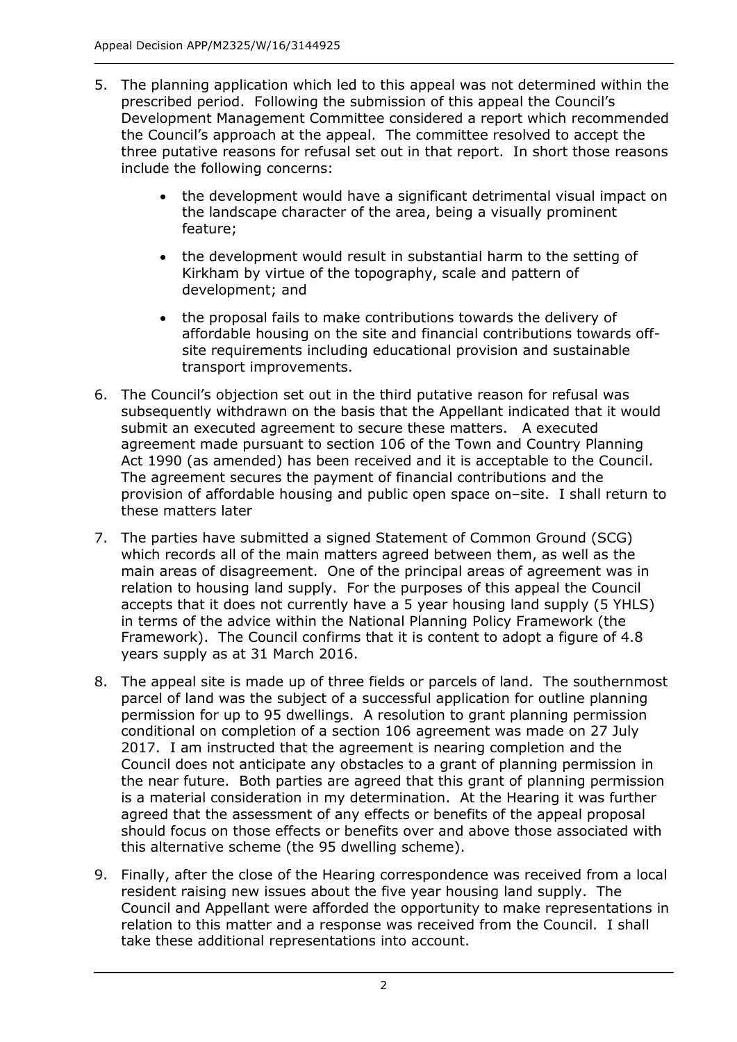- 5. The planning application which led to this appeal was not determined within the prescribed period. Following the submission of this appeal the Council's Development Management Committee considered a report which recommended the Council's approach at the appeal. The committee resolved to accept the three putative reasons for refusal set out in that report. In short those reasons include the following concerns:
	- the development would have a significant detrimental visual impact on the landscape character of the area, being a visually prominent feature;
	- the development would result in substantial harm to the setting of Kirkham by virtue of the topography, scale and pattern of development; and
	- the proposal fails to make contributions towards the delivery of affordable housing on the site and financial contributions towards offsite requirements including educational provision and sustainable transport improvements.
- 6. The Council's objection set out in the third putative reason for refusal was subsequently withdrawn on the basis that the Appellant indicated that it would submit an executed agreement to secure these matters. A executed agreement made pursuant to section 106 of the Town and Country Planning Act 1990 (as amended) has been received and it is acceptable to the Council. The agreement secures the payment of financial contributions and the provision of affordable housing and public open space on–site. I shall return to these matters later
- 7. The parties have submitted a signed Statement of Common Ground (SCG) which records all of the main matters agreed between them, as well as the main areas of disagreement. One of the principal areas of agreement was in relation to housing land supply. For the purposes of this appeal the Council accepts that it does not currently have a 5 year housing land supply (5 YHLS) in terms of the advice within the National Planning Policy Framework (the Framework). The Council confirms that it is content to adopt a figure of 4.8 years supply as at 31 March 2016.
- 8. The appeal site is made up of three fields or parcels of land. The southernmost parcel of land was the subject of a successful application for outline planning permission for up to 95 dwellings. A resolution to grant planning permission conditional on completion of a section 106 agreement was made on 27 July 2017. I am instructed that the agreement is nearing completion and the Council does not anticipate any obstacles to a grant of planning permission in the near future. Both parties are agreed that this grant of planning permission is a material consideration in my determination. At the Hearing it was further agreed that the assessment of any effects or benefits of the appeal proposal should focus on those effects or benefits over and above those associated with this alternative scheme (the 95 dwelling scheme).
- 9. Finally, after the close of the Hearing correspondence was received from a local resident raising new issues about the five year housing land supply. The Council and Appellant were afforded the opportunity to make representations in relation to this matter and a response was received from the Council. I shall take these additional representations into account.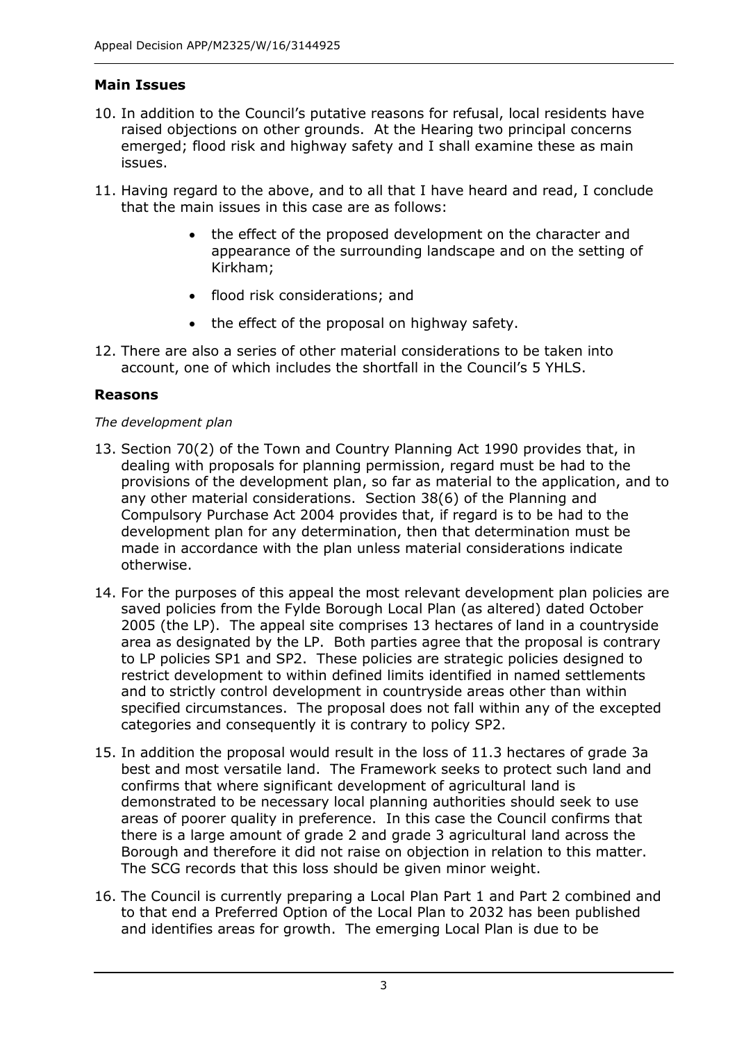## **Main Issues**

- 10. In addition to the Council's putative reasons for refusal, local residents have raised objections on other grounds. At the Hearing two principal concerns emerged; flood risk and highway safety and I shall examine these as main issues.
- 11. Having regard to the above, and to all that I have heard and read, I conclude that the main issues in this case are as follows:
	- the effect of the proposed development on the character and appearance of the surrounding landscape and on the setting of Kirkham;
	- flood risk considerations; and
	- the effect of the proposal on highway safety.
- 12. There are also a series of other material considerations to be taken into account, one of which includes the shortfall in the Council's 5 YHLS.

## **Reasons**

## *The development plan*

- 13. Section 70(2) of the Town and Country Planning Act 1990 provides that, in dealing with proposals for planning permission, regard must be had to the provisions of the development plan, so far as material to the application, and to any other material considerations. Section 38(6) of the Planning and Compulsory Purchase Act 2004 provides that, if regard is to be had to the development plan for any determination, then that determination must be made in accordance with the plan unless material considerations indicate otherwise.
- 14. For the purposes of this appeal the most relevant development plan policies are saved policies from the Fylde Borough Local Plan (as altered) dated October 2005 (the LP). The appeal site comprises 13 hectares of land in a countryside area as designated by the LP. Both parties agree that the proposal is contrary to LP policies SP1 and SP2. These policies are strategic policies designed to restrict development to within defined limits identified in named settlements and to strictly control development in countryside areas other than within specified circumstances. The proposal does not fall within any of the excepted categories and consequently it is contrary to policy SP2.
- 15. In addition the proposal would result in the loss of 11.3 hectares of grade 3a best and most versatile land. The Framework seeks to protect such land and confirms that where significant development of agricultural land is demonstrated to be necessary local planning authorities should seek to use areas of poorer quality in preference. In this case the Council confirms that there is a large amount of grade 2 and grade 3 agricultural land across the Borough and therefore it did not raise on objection in relation to this matter. The SCG records that this loss should be given minor weight.
- 16. The Council is currently preparing a Local Plan Part 1 and Part 2 combined and to that end a Preferred Option of the Local Plan to 2032 has been published and identifies areas for growth. The emerging Local Plan is due to be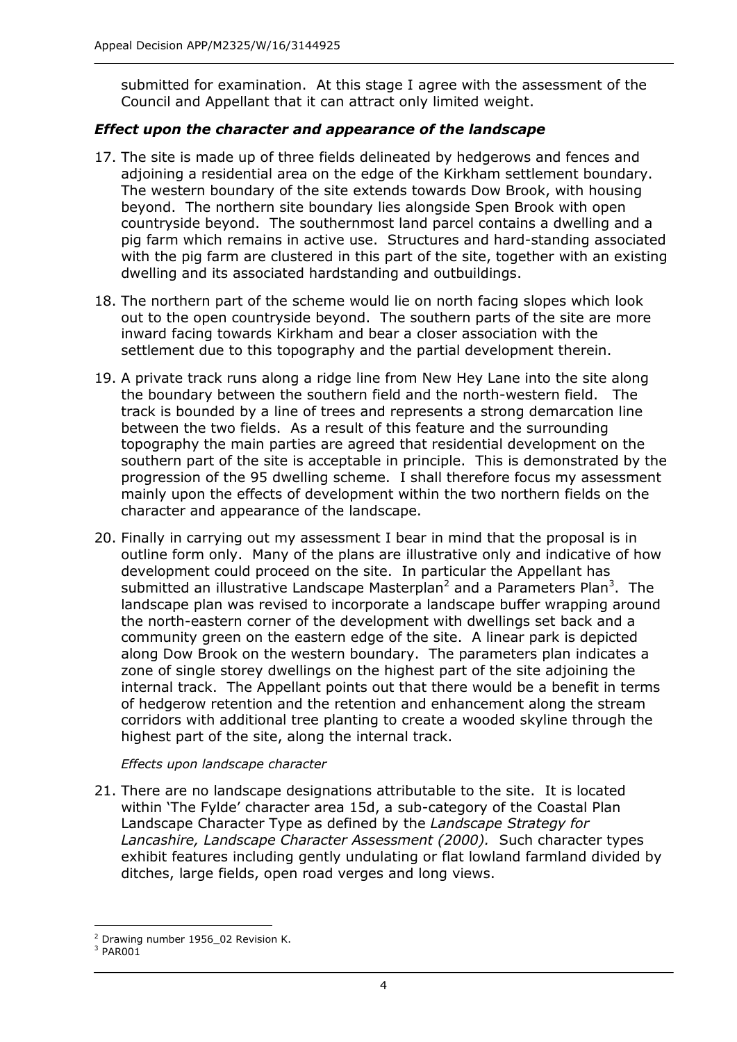submitted for examination. At this stage I agree with the assessment of the Council and Appellant that it can attract only limited weight.

### *Effect upon the character and appearance of the landscape*

- 17. The site is made up of three fields delineated by hedgerows and fences and adjoining a residential area on the edge of the Kirkham settlement boundary. The western boundary of the site extends towards Dow Brook, with housing beyond. The northern site boundary lies alongside Spen Brook with open countryside beyond. The southernmost land parcel contains a dwelling and a pig farm which remains in active use. Structures and hard-standing associated with the pig farm are clustered in this part of the site, together with an existing dwelling and its associated hardstanding and outbuildings.
- 18. The northern part of the scheme would lie on north facing slopes which look out to the open countryside beyond. The southern parts of the site are more inward facing towards Kirkham and bear a closer association with the settlement due to this topography and the partial development therein.
- 19. A private track runs along a ridge line from New Hey Lane into the site along the boundary between the southern field and the north-western field. The track is bounded by a line of trees and represents a strong demarcation line between the two fields. As a result of this feature and the surrounding topography the main parties are agreed that residential development on the southern part of the site is acceptable in principle. This is demonstrated by the progression of the 95 dwelling scheme. I shall therefore focus my assessment mainly upon the effects of development within the two northern fields on the character and appearance of the landscape.
- 20. Finally in carrying out my assessment I bear in mind that the proposal is in outline form only. Many of the plans are illustrative only and indicative of how development could proceed on the site. In particular the Appellant has submitted an illustrative Landscape Masterplan<sup>2</sup> and a Parameters Plan<sup>3</sup>. The landscape plan was revised to incorporate a landscape buffer wrapping around the north-eastern corner of the development with dwellings set back and a community green on the eastern edge of the site. A linear park is depicted along Dow Brook on the western boundary. The parameters plan indicates a zone of single storey dwellings on the highest part of the site adjoining the internal track. The Appellant points out that there would be a benefit in terms of hedgerow retention and the retention and enhancement along the stream corridors with additional tree planting to create a wooded skyline through the highest part of the site, along the internal track.

#### *Effects upon landscape character*

21. There are no landscape designations attributable to the site. It is located within 'The Fylde' character area 15d, a sub-category of the Coastal Plan Landscape Character Type as defined by the *Landscape Strategy for Lancashire, Landscape Character Assessment (2000).* Such character types exhibit features including gently undulating or flat lowland farmland divided by ditches, large fields, open road verges and long views.

j <sup>2</sup> Drawing number 1956 02 Revision K.

<sup>3</sup> PAR001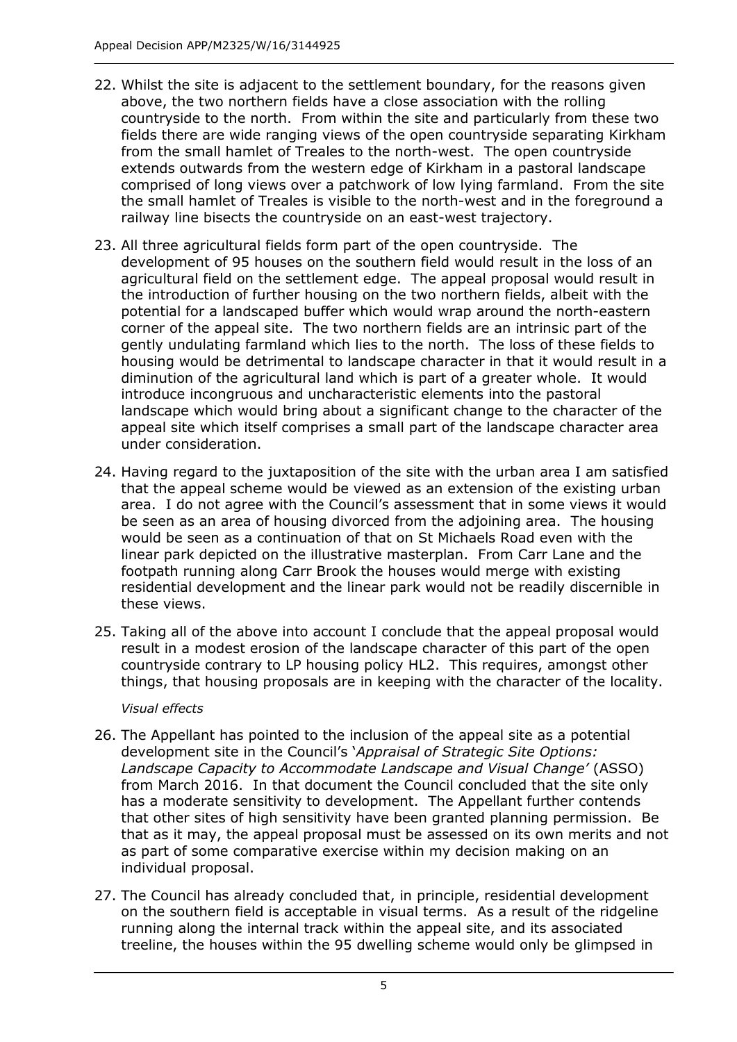- 22. Whilst the site is adjacent to the settlement boundary, for the reasons given above, the two northern fields have a close association with the rolling countryside to the north. From within the site and particularly from these two fields there are wide ranging views of the open countryside separating Kirkham from the small hamlet of Treales to the north-west. The open countryside extends outwards from the western edge of Kirkham in a pastoral landscape comprised of long views over a patchwork of low lying farmland. From the site the small hamlet of Treales is visible to the north-west and in the foreground a railway line bisects the countryside on an east-west trajectory.
- 23. All three agricultural fields form part of the open countryside. The development of 95 houses on the southern field would result in the loss of an agricultural field on the settlement edge. The appeal proposal would result in the introduction of further housing on the two northern fields, albeit with the potential for a landscaped buffer which would wrap around the north-eastern corner of the appeal site. The two northern fields are an intrinsic part of the gently undulating farmland which lies to the north. The loss of these fields to housing would be detrimental to landscape character in that it would result in a diminution of the agricultural land which is part of a greater whole. It would introduce incongruous and uncharacteristic elements into the pastoral landscape which would bring about a significant change to the character of the appeal site which itself comprises a small part of the landscape character area under consideration.
- 24. Having regard to the juxtaposition of the site with the urban area I am satisfied that the appeal scheme would be viewed as an extension of the existing urban area. I do not agree with the Council's assessment that in some views it would be seen as an area of housing divorced from the adjoining area. The housing would be seen as a continuation of that on St Michaels Road even with the linear park depicted on the illustrative masterplan. From Carr Lane and the footpath running along Carr Brook the houses would merge with existing residential development and the linear park would not be readily discernible in these views.
- 25. Taking all of the above into account I conclude that the appeal proposal would result in a modest erosion of the landscape character of this part of the open countryside contrary to LP housing policy HL2. This requires, amongst other things, that housing proposals are in keeping with the character of the locality.

#### *Visual effects*

- 26. The Appellant has pointed to the inclusion of the appeal site as a potential development site in the Council's '*Appraisal of Strategic Site Options: Landscape Capacity to Accommodate Landscape and Visual Change'* (ASSO) from March 2016. In that document the Council concluded that the site only has a moderate sensitivity to development. The Appellant further contends that other sites of high sensitivity have been granted planning permission. Be that as it may, the appeal proposal must be assessed on its own merits and not as part of some comparative exercise within my decision making on an individual proposal.
- 27. The Council has already concluded that, in principle, residential development on the southern field is acceptable in visual terms. As a result of the ridgeline running along the internal track within the appeal site, and its associated treeline, the houses within the 95 dwelling scheme would only be glimpsed in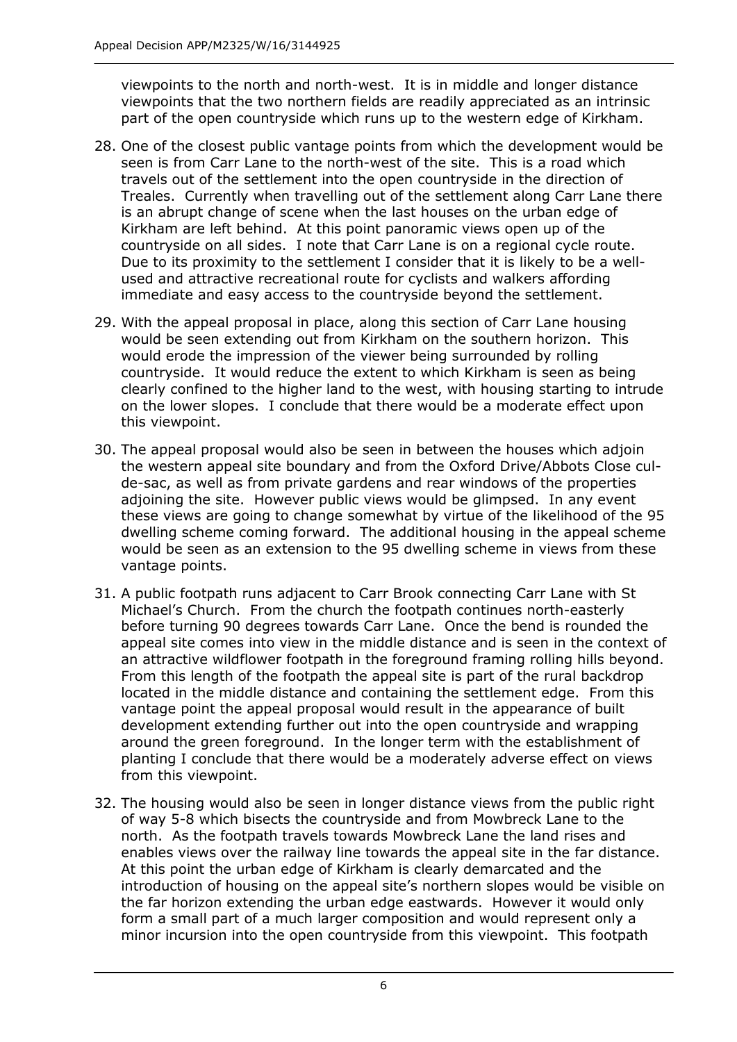viewpoints to the north and north-west. It is in middle and longer distance viewpoints that the two northern fields are readily appreciated as an intrinsic part of the open countryside which runs up to the western edge of Kirkham.

- 28. One of the closest public vantage points from which the development would be seen is from Carr Lane to the north-west of the site. This is a road which travels out of the settlement into the open countryside in the direction of Treales. Currently when travelling out of the settlement along Carr Lane there is an abrupt change of scene when the last houses on the urban edge of Kirkham are left behind. At this point panoramic views open up of the countryside on all sides. I note that Carr Lane is on a regional cycle route. Due to its proximity to the settlement I consider that it is likely to be a wellused and attractive recreational route for cyclists and walkers affording immediate and easy access to the countryside beyond the settlement.
- 29. With the appeal proposal in place, along this section of Carr Lane housing would be seen extending out from Kirkham on the southern horizon. This would erode the impression of the viewer being surrounded by rolling countryside. It would reduce the extent to which Kirkham is seen as being clearly confined to the higher land to the west, with housing starting to intrude on the lower slopes. I conclude that there would be a moderate effect upon this viewpoint.
- 30. The appeal proposal would also be seen in between the houses which adjoin the western appeal site boundary and from the Oxford Drive/Abbots Close culde-sac, as well as from private gardens and rear windows of the properties adjoining the site. However public views would be glimpsed. In any event these views are going to change somewhat by virtue of the likelihood of the 95 dwelling scheme coming forward. The additional housing in the appeal scheme would be seen as an extension to the 95 dwelling scheme in views from these vantage points.
- 31. A public footpath runs adjacent to Carr Brook connecting Carr Lane with St Michael's Church. From the church the footpath continues north-easterly before turning 90 degrees towards Carr Lane. Once the bend is rounded the appeal site comes into view in the middle distance and is seen in the context of an attractive wildflower footpath in the foreground framing rolling hills beyond. From this length of the footpath the appeal site is part of the rural backdrop located in the middle distance and containing the settlement edge. From this vantage point the appeal proposal would result in the appearance of built development extending further out into the open countryside and wrapping around the green foreground. In the longer term with the establishment of planting I conclude that there would be a moderately adverse effect on views from this viewpoint.
- 32. The housing would also be seen in longer distance views from the public right of way 5-8 which bisects the countryside and from Mowbreck Lane to the north. As the footpath travels towards Mowbreck Lane the land rises and enables views over the railway line towards the appeal site in the far distance. At this point the urban edge of Kirkham is clearly demarcated and the introduction of housing on the appeal site's northern slopes would be visible on the far horizon extending the urban edge eastwards. However it would only form a small part of a much larger composition and would represent only a minor incursion into the open countryside from this viewpoint. This footpath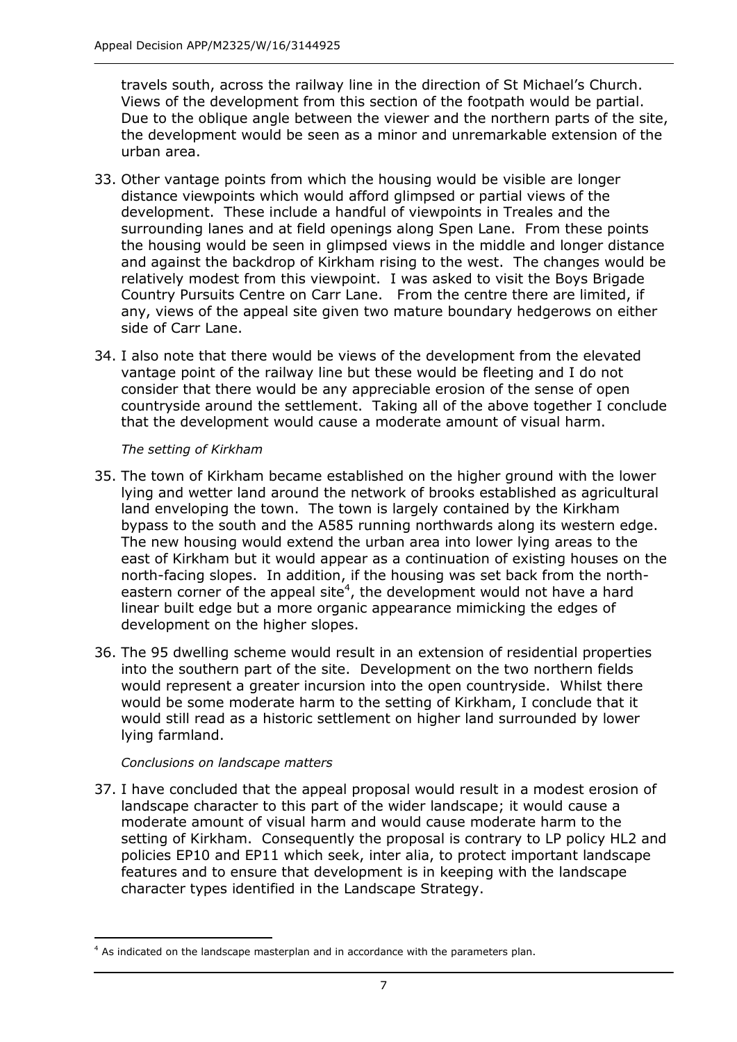travels south, across the railway line in the direction of St Michael's Church. Views of the development from this section of the footpath would be partial. Due to the oblique angle between the viewer and the northern parts of the site, the development would be seen as a minor and unremarkable extension of the urban area.

- 33. Other vantage points from which the housing would be visible are longer distance viewpoints which would afford glimpsed or partial views of the development. These include a handful of viewpoints in Treales and the surrounding lanes and at field openings along Spen Lane. From these points the housing would be seen in glimpsed views in the middle and longer distance and against the backdrop of Kirkham rising to the west. The changes would be relatively modest from this viewpoint. I was asked to visit the Boys Brigade Country Pursuits Centre on Carr Lane. From the centre there are limited, if any, views of the appeal site given two mature boundary hedgerows on either side of Carr Lane.
- 34. I also note that there would be views of the development from the elevated vantage point of the railway line but these would be fleeting and I do not consider that there would be any appreciable erosion of the sense of open countryside around the settlement. Taking all of the above together I conclude that the development would cause a moderate amount of visual harm.

#### *The setting of Kirkham*

- 35. The town of Kirkham became established on the higher ground with the lower lying and wetter land around the network of brooks established as agricultural land enveloping the town. The town is largely contained by the Kirkham bypass to the south and the A585 running northwards along its western edge. The new housing would extend the urban area into lower lying areas to the east of Kirkham but it would appear as a continuation of existing houses on the north-facing slopes. In addition, if the housing was set back from the northeastern corner of the appeal site<sup>4</sup>, the development would not have a hard linear built edge but a more organic appearance mimicking the edges of development on the higher slopes.
- 36. The 95 dwelling scheme would result in an extension of residential properties into the southern part of the site. Development on the two northern fields would represent a greater incursion into the open countryside. Whilst there would be some moderate harm to the setting of Kirkham, I conclude that it would still read as a historic settlement on higher land surrounded by lower lying farmland.

#### *Conclusions on landscape matters*

-

37. I have concluded that the appeal proposal would result in a modest erosion of landscape character to this part of the wider landscape; it would cause a moderate amount of visual harm and would cause moderate harm to the setting of Kirkham. Consequently the proposal is contrary to LP policy HL2 and policies EP10 and EP11 which seek, inter alia, to protect important landscape features and to ensure that development is in keeping with the landscape character types identified in the Landscape Strategy.

<sup>4</sup> As indicated on the landscape masterplan and in accordance with the parameters plan.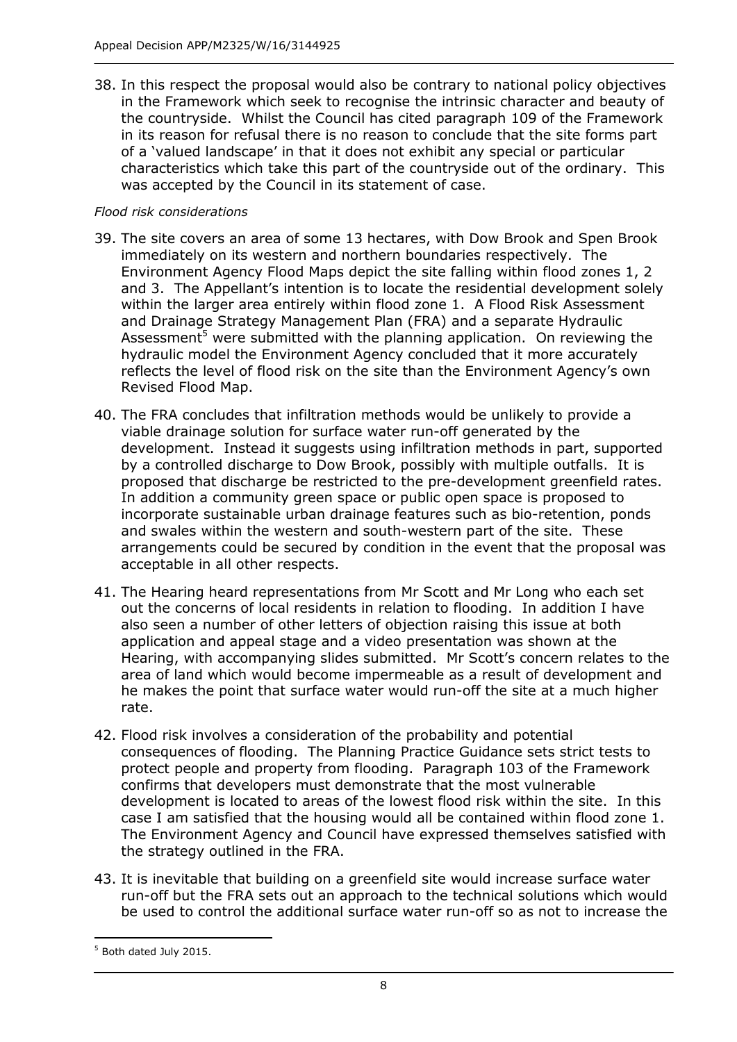38. In this respect the proposal would also be contrary to national policy objectives in the Framework which seek to recognise the intrinsic character and beauty of the countryside. Whilst the Council has cited paragraph 109 of the Framework in its reason for refusal there is no reason to conclude that the site forms part of a 'valued landscape' in that it does not exhibit any special or particular characteristics which take this part of the countryside out of the ordinary. This was accepted by the Council in its statement of case.

#### *Flood risk considerations*

- 39. The site covers an area of some 13 hectares, with Dow Brook and Spen Brook immediately on its western and northern boundaries respectively. The Environment Agency Flood Maps depict the site falling within flood zones 1, 2 and 3. The Appellant's intention is to locate the residential development solely within the larger area entirely within flood zone 1. A Flood Risk Assessment and Drainage Strategy Management Plan (FRA) and a separate Hydraulic Assessment<sup>5</sup> were submitted with the planning application. On reviewing the hydraulic model the Environment Agency concluded that it more accurately reflects the level of flood risk on the site than the Environment Agency's own Revised Flood Map.
- 40. The FRA concludes that infiltration methods would be unlikely to provide a viable drainage solution for surface water run-off generated by the development. Instead it suggests using infiltration methods in part, supported by a controlled discharge to Dow Brook, possibly with multiple outfalls. It is proposed that discharge be restricted to the pre-development greenfield rates. In addition a community green space or public open space is proposed to incorporate sustainable urban drainage features such as bio-retention, ponds and swales within the western and south-western part of the site. These arrangements could be secured by condition in the event that the proposal was acceptable in all other respects.
- 41. The Hearing heard representations from Mr Scott and Mr Long who each set out the concerns of local residents in relation to flooding. In addition I have also seen a number of other letters of objection raising this issue at both application and appeal stage and a video presentation was shown at the Hearing, with accompanying slides submitted. Mr Scott's concern relates to the area of land which would become impermeable as a result of development and he makes the point that surface water would run-off the site at a much higher rate.
- 42. Flood risk involves a consideration of the probability and potential consequences of flooding. The Planning Practice Guidance sets strict tests to protect people and property from flooding. Paragraph 103 of the Framework confirms that developers must demonstrate that the most vulnerable development is located to areas of the lowest flood risk within the site. In this case I am satisfied that the housing would all be contained within flood zone 1. The Environment Agency and Council have expressed themselves satisfied with the strategy outlined in the FRA.
- 43. It is inevitable that building on a greenfield site would increase surface water run-off but the FRA sets out an approach to the technical solutions which would be used to control the additional surface water run-off so as not to increase the

-

<sup>5</sup> Both dated July 2015.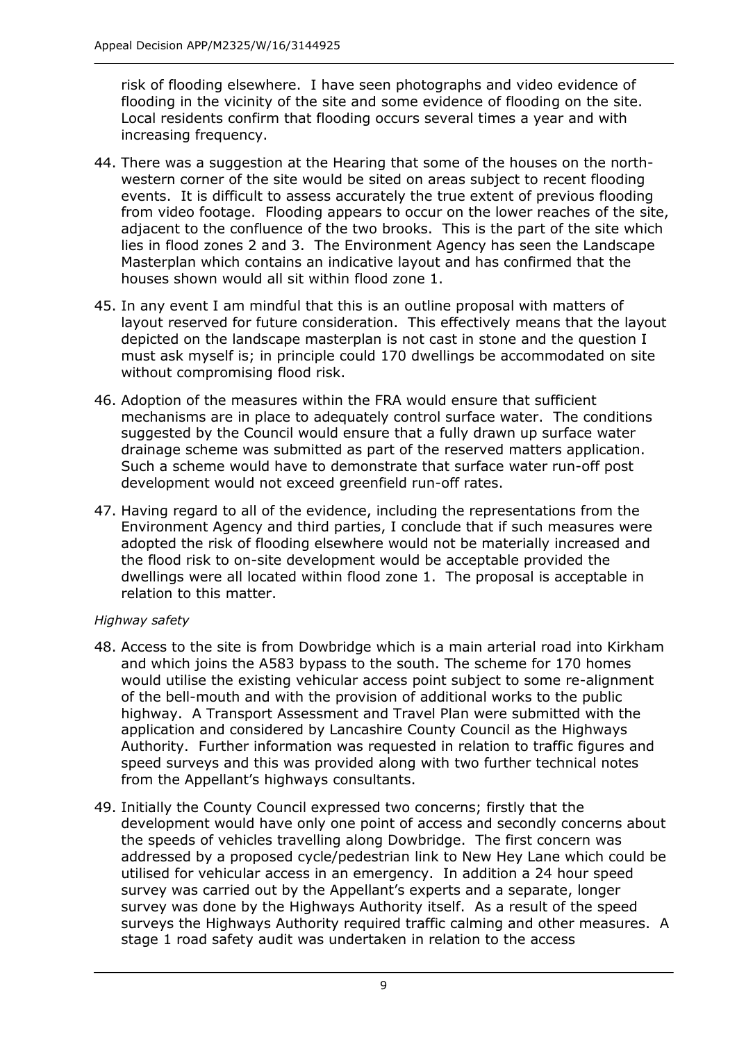risk of flooding elsewhere. I have seen photographs and video evidence of flooding in the vicinity of the site and some evidence of flooding on the site. Local residents confirm that flooding occurs several times a year and with increasing frequency.

- 44. There was a suggestion at the Hearing that some of the houses on the northwestern corner of the site would be sited on areas subject to recent flooding events. It is difficult to assess accurately the true extent of previous flooding from video footage. Flooding appears to occur on the lower reaches of the site, adjacent to the confluence of the two brooks. This is the part of the site which lies in flood zones 2 and 3. The Environment Agency has seen the Landscape Masterplan which contains an indicative layout and has confirmed that the houses shown would all sit within flood zone 1.
- 45. In any event I am mindful that this is an outline proposal with matters of layout reserved for future consideration. This effectively means that the layout depicted on the landscape masterplan is not cast in stone and the question I must ask myself is; in principle could 170 dwellings be accommodated on site without compromising flood risk.
- 46. Adoption of the measures within the FRA would ensure that sufficient mechanisms are in place to adequately control surface water. The conditions suggested by the Council would ensure that a fully drawn up surface water drainage scheme was submitted as part of the reserved matters application. Such a scheme would have to demonstrate that surface water run-off post development would not exceed greenfield run-off rates.
- 47. Having regard to all of the evidence, including the representations from the Environment Agency and third parties, I conclude that if such measures were adopted the risk of flooding elsewhere would not be materially increased and the flood risk to on-site development would be acceptable provided the dwellings were all located within flood zone 1. The proposal is acceptable in relation to this matter.

#### *Highway safety*

- 48. Access to the site is from Dowbridge which is a main arterial road into Kirkham and which joins the A583 bypass to the south. The scheme for 170 homes would utilise the existing vehicular access point subject to some re-alignment of the bell-mouth and with the provision of additional works to the public highway. A Transport Assessment and Travel Plan were submitted with the application and considered by Lancashire County Council as the Highways Authority. Further information was requested in relation to traffic figures and speed surveys and this was provided along with two further technical notes from the Appellant's highways consultants.
- 49. Initially the County Council expressed two concerns; firstly that the development would have only one point of access and secondly concerns about the speeds of vehicles travelling along Dowbridge. The first concern was addressed by a proposed cycle/pedestrian link to New Hey Lane which could be utilised for vehicular access in an emergency. In addition a 24 hour speed survey was carried out by the Appellant's experts and a separate, longer survey was done by the Highways Authority itself. As a result of the speed surveys the Highways Authority required traffic calming and other measures. A stage 1 road safety audit was undertaken in relation to the access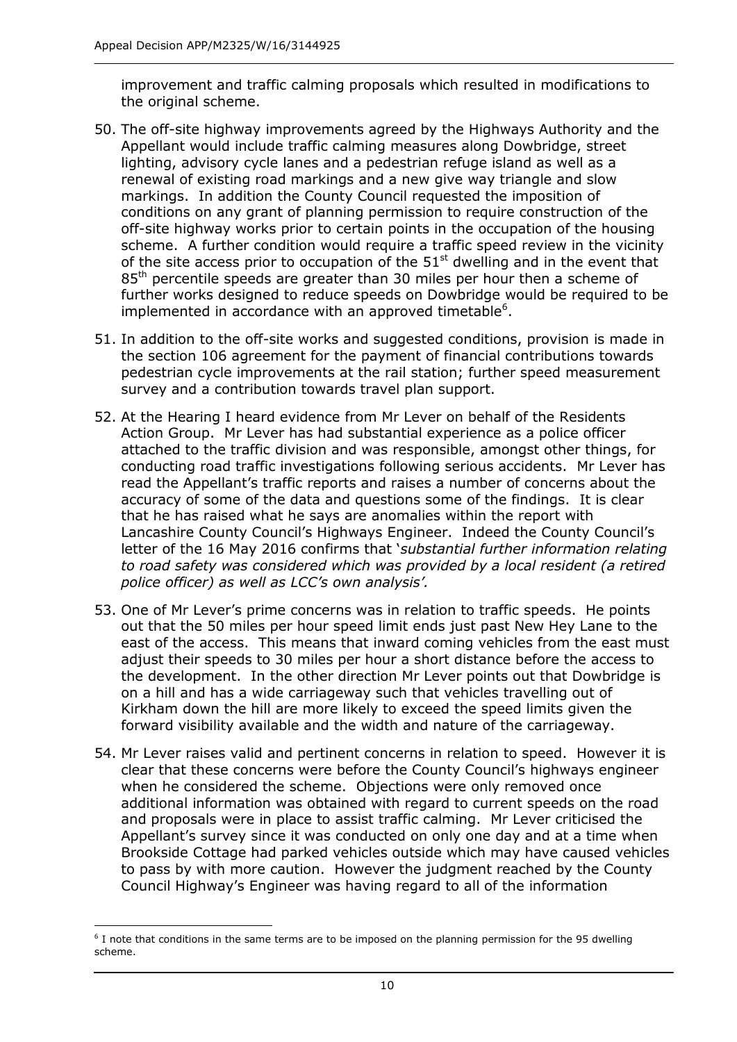improvement and traffic calming proposals which resulted in modifications to the original scheme.

- 50. The off-site highway improvements agreed by the Highways Authority and the Appellant would include traffic calming measures along Dowbridge, street lighting, advisory cycle lanes and a pedestrian refuge island as well as a renewal of existing road markings and a new give way triangle and slow markings. In addition the County Council requested the imposition of conditions on any grant of planning permission to require construction of the off-site highway works prior to certain points in the occupation of the housing scheme. A further condition would require a traffic speed review in the vicinity of the site access prior to occupation of the  $51<sup>st</sup>$  dwelling and in the event that 85<sup>th</sup> percentile speeds are greater than 30 miles per hour then a scheme of further works designed to reduce speeds on Dowbridge would be required to be implemented in accordance with an approved timetable $6$ .
- 51. In addition to the off-site works and suggested conditions, provision is made in the section 106 agreement for the payment of financial contributions towards pedestrian cycle improvements at the rail station; further speed measurement survey and a contribution towards travel plan support.
- 52. At the Hearing I heard evidence from Mr Lever on behalf of the Residents Action Group. Mr Lever has had substantial experience as a police officer attached to the traffic division and was responsible, amongst other things, for conducting road traffic investigations following serious accidents. Mr Lever has read the Appellant's traffic reports and raises a number of concerns about the accuracy of some of the data and questions some of the findings. It is clear that he has raised what he says are anomalies within the report with Lancashire County Council's Highways Engineer. Indeed the County Council's letter of the 16 May 2016 confirms that '*substantial further information relating to road safety was considered which was provided by a local resident (a retired police officer) as well as LCC's own analysis'.*
- 53. One of Mr Lever's prime concerns was in relation to traffic speeds. He points out that the 50 miles per hour speed limit ends just past New Hey Lane to the east of the access. This means that inward coming vehicles from the east must adjust their speeds to 30 miles per hour a short distance before the access to the development. In the other direction Mr Lever points out that Dowbridge is on a hill and has a wide carriageway such that vehicles travelling out of Kirkham down the hill are more likely to exceed the speed limits given the forward visibility available and the width and nature of the carriageway.
- 54. Mr Lever raises valid and pertinent concerns in relation to speed. However it is clear that these concerns were before the County Council's highways engineer when he considered the scheme. Objections were only removed once additional information was obtained with regard to current speeds on the road and proposals were in place to assist traffic calming. Mr Lever criticised the Appellant's survey since it was conducted on only one day and at a time when Brookside Cottage had parked vehicles outside which may have caused vehicles to pass by with more caution. However the judgment reached by the County Council Highway's Engineer was having regard to all of the information

j <sup>6</sup> I note that conditions in the same terms are to be imposed on the planning permission for the 95 dwelling scheme.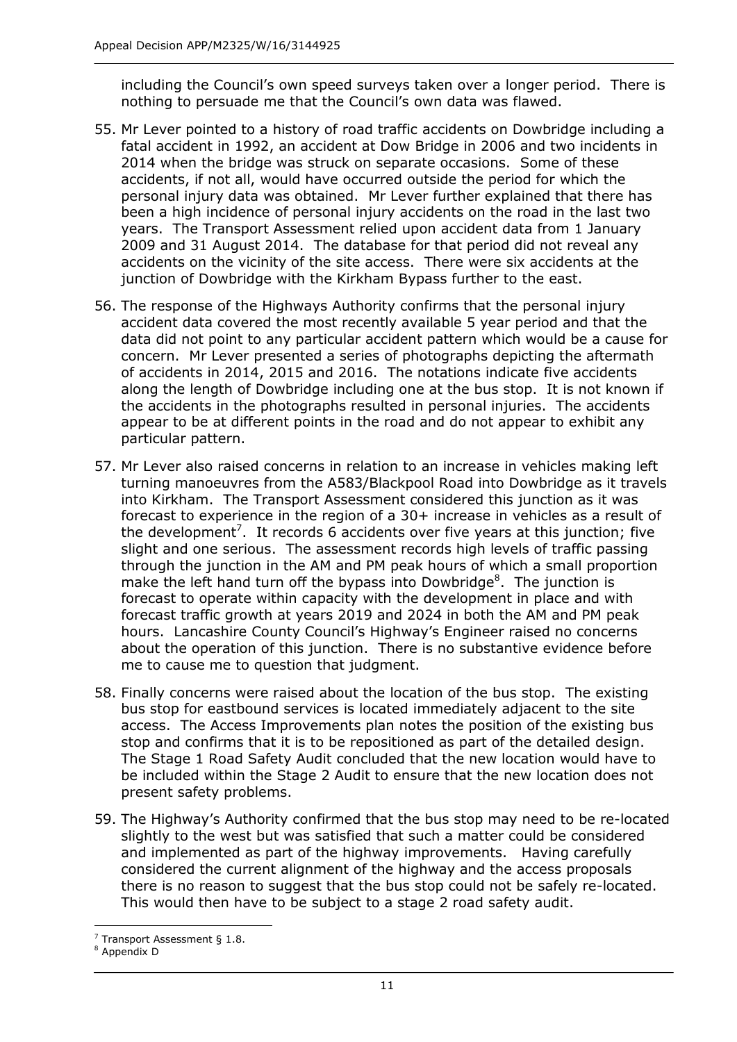including the Council's own speed surveys taken over a longer period. There is nothing to persuade me that the Council's own data was flawed.

- 55. Mr Lever pointed to a history of road traffic accidents on Dowbridge including a fatal accident in 1992, an accident at Dow Bridge in 2006 and two incidents in 2014 when the bridge was struck on separate occasions. Some of these accidents, if not all, would have occurred outside the period for which the personal injury data was obtained. Mr Lever further explained that there has been a high incidence of personal injury accidents on the road in the last two years. The Transport Assessment relied upon accident data from 1 January 2009 and 31 August 2014. The database for that period did not reveal any accidents on the vicinity of the site access. There were six accidents at the junction of Dowbridge with the Kirkham Bypass further to the east.
- 56. The response of the Highways Authority confirms that the personal injury accident data covered the most recently available 5 year period and that the data did not point to any particular accident pattern which would be a cause for concern. Mr Lever presented a series of photographs depicting the aftermath of accidents in 2014, 2015 and 2016. The notations indicate five accidents along the length of Dowbridge including one at the bus stop. It is not known if the accidents in the photographs resulted in personal injuries. The accidents appear to be at different points in the road and do not appear to exhibit any particular pattern.
- 57. Mr Lever also raised concerns in relation to an increase in vehicles making left turning manoeuvres from the A583/Blackpool Road into Dowbridge as it travels into Kirkham. The Transport Assessment considered this junction as it was forecast to experience in the region of a 30+ increase in vehicles as a result of the development<sup>7</sup>. It records 6 accidents over five years at this junction; five slight and one serious. The assessment records high levels of traffic passing through the junction in the AM and PM peak hours of which a small proportion make the left hand turn off the bypass into Dowbridge $8$ . The junction is forecast to operate within capacity with the development in place and with forecast traffic growth at years 2019 and 2024 in both the AM and PM peak hours. Lancashire County Council's Highway's Engineer raised no concerns about the operation of this junction. There is no substantive evidence before me to cause me to question that judgment.
- 58. Finally concerns were raised about the location of the bus stop. The existing bus stop for eastbound services is located immediately adjacent to the site access. The Access Improvements plan notes the position of the existing bus stop and confirms that it is to be repositioned as part of the detailed design. The Stage 1 Road Safety Audit concluded that the new location would have to be included within the Stage 2 Audit to ensure that the new location does not present safety problems.
- 59. The Highway's Authority confirmed that the bus stop may need to be re-located slightly to the west but was satisfied that such a matter could be considered and implemented as part of the highway improvements. Having carefully considered the current alignment of the highway and the access proposals there is no reason to suggest that the bus stop could not be safely re-located. This would then have to be subject to a stage 2 road safety audit.

j  $<sup>7</sup>$  Transport Assessment § 1.8.</sup>

Appendix D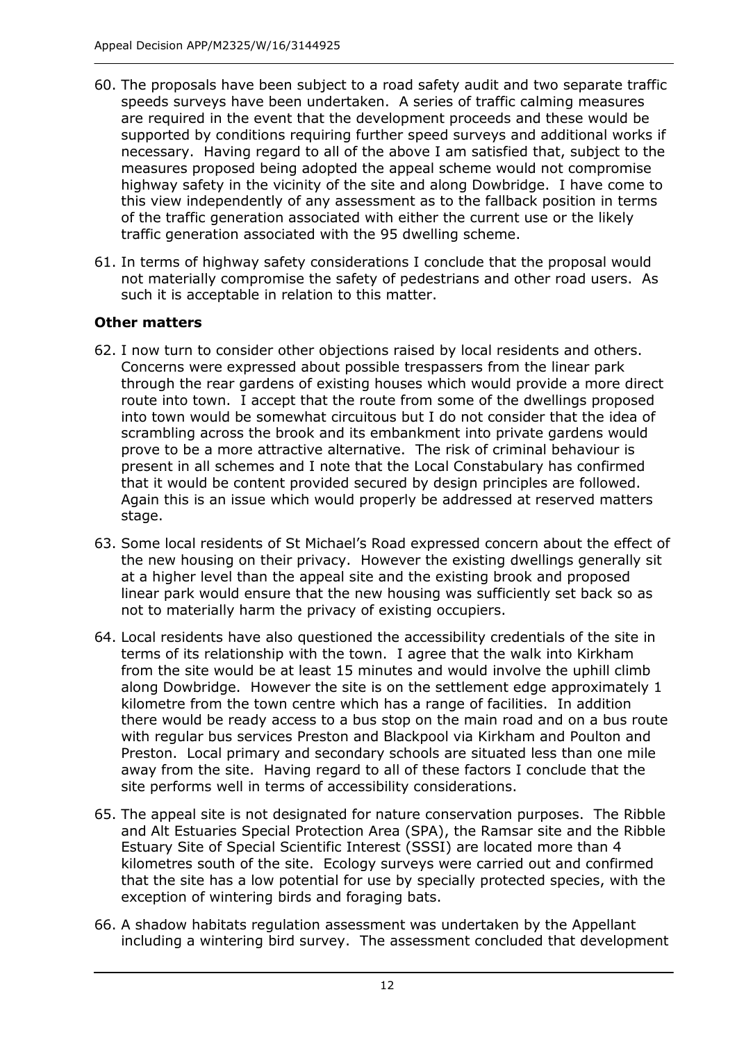- 60. The proposals have been subject to a road safety audit and two separate traffic speeds surveys have been undertaken. A series of traffic calming measures are required in the event that the development proceeds and these would be supported by conditions requiring further speed surveys and additional works if necessary. Having regard to all of the above I am satisfied that, subject to the measures proposed being adopted the appeal scheme would not compromise highway safety in the vicinity of the site and along Dowbridge. I have come to this view independently of any assessment as to the fallback position in terms of the traffic generation associated with either the current use or the likely traffic generation associated with the 95 dwelling scheme.
- 61. In terms of highway safety considerations I conclude that the proposal would not materially compromise the safety of pedestrians and other road users. As such it is acceptable in relation to this matter.

## **Other matters**

- 62. I now turn to consider other objections raised by local residents and others. Concerns were expressed about possible trespassers from the linear park through the rear gardens of existing houses which would provide a more direct route into town. I accept that the route from some of the dwellings proposed into town would be somewhat circuitous but I do not consider that the idea of scrambling across the brook and its embankment into private gardens would prove to be a more attractive alternative. The risk of criminal behaviour is present in all schemes and I note that the Local Constabulary has confirmed that it would be content provided secured by design principles are followed. Again this is an issue which would properly be addressed at reserved matters stage.
- 63. Some local residents of St Michael's Road expressed concern about the effect of the new housing on their privacy. However the existing dwellings generally sit at a higher level than the appeal site and the existing brook and proposed linear park would ensure that the new housing was sufficiently set back so as not to materially harm the privacy of existing occupiers.
- 64. Local residents have also questioned the accessibility credentials of the site in terms of its relationship with the town. I agree that the walk into Kirkham from the site would be at least 15 minutes and would involve the uphill climb along Dowbridge. However the site is on the settlement edge approximately 1 kilometre from the town centre which has a range of facilities. In addition there would be ready access to a bus stop on the main road and on a bus route with regular bus services Preston and Blackpool via Kirkham and Poulton and Preston. Local primary and secondary schools are situated less than one mile away from the site. Having regard to all of these factors I conclude that the site performs well in terms of accessibility considerations.
- 65. The appeal site is not designated for nature conservation purposes. The Ribble and Alt Estuaries Special Protection Area (SPA), the Ramsar site and the Ribble Estuary Site of Special Scientific Interest (SSSI) are located more than 4 kilometres south of the site. Ecology surveys were carried out and confirmed that the site has a low potential for use by specially protected species, with the exception of wintering birds and foraging bats.
- 66. A shadow habitats regulation assessment was undertaken by the Appellant including a wintering bird survey. The assessment concluded that development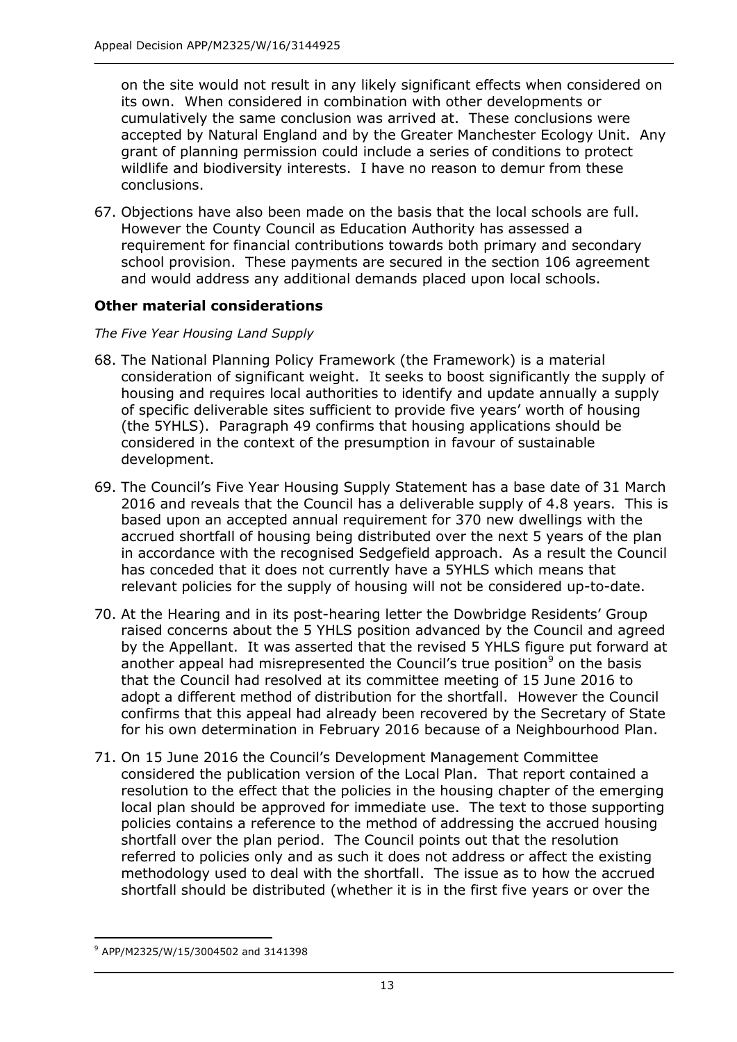on the site would not result in any likely significant effects when considered on its own. When considered in combination with other developments or cumulatively the same conclusion was arrived at. These conclusions were accepted by Natural England and by the Greater Manchester Ecology Unit. Any grant of planning permission could include a series of conditions to protect wildlife and biodiversity interests. I have no reason to demur from these conclusions.

67. Objections have also been made on the basis that the local schools are full. However the County Council as Education Authority has assessed a requirement for financial contributions towards both primary and secondary school provision. These payments are secured in the section 106 agreement and would address any additional demands placed upon local schools.

#### **Other material considerations**

#### *The Five Year Housing Land Supply*

- 68. The National Planning Policy Framework (the Framework) is a material consideration of significant weight. It seeks to boost significantly the supply of housing and requires local authorities to identify and update annually a supply of specific deliverable sites sufficient to provide five years' worth of housing (the 5YHLS). Paragraph 49 confirms that housing applications should be considered in the context of the presumption in favour of sustainable development.
- 69. The Council's Five Year Housing Supply Statement has a base date of 31 March 2016 and reveals that the Council has a deliverable supply of 4.8 years. This is based upon an accepted annual requirement for 370 new dwellings with the accrued shortfall of housing being distributed over the next 5 years of the plan in accordance with the recognised Sedgefield approach. As a result the Council has conceded that it does not currently have a 5YHLS which means that relevant policies for the supply of housing will not be considered up-to-date.
- 70. At the Hearing and in its post-hearing letter the Dowbridge Residents' Group raised concerns about the 5 YHLS position advanced by the Council and agreed by the Appellant. It was asserted that the revised 5 YHLS figure put forward at another appeal had misrepresented the Council's true position<sup>9</sup> on the basis that the Council had resolved at its committee meeting of 15 June 2016 to adopt a different method of distribution for the shortfall. However the Council confirms that this appeal had already been recovered by the Secretary of State for his own determination in February 2016 because of a Neighbourhood Plan.
- 71. On 15 June 2016 the Council's Development Management Committee considered the publication version of the Local Plan. That report contained a resolution to the effect that the policies in the housing chapter of the emerging local plan should be approved for immediate use. The text to those supporting policies contains a reference to the method of addressing the accrued housing shortfall over the plan period. The Council points out that the resolution referred to policies only and as such it does not address or affect the existing methodology used to deal with the shortfall. The issue as to how the accrued shortfall should be distributed (whether it is in the first five years or over the

-

<sup>9</sup> APP/M2325/W/15/3004502 and 3141398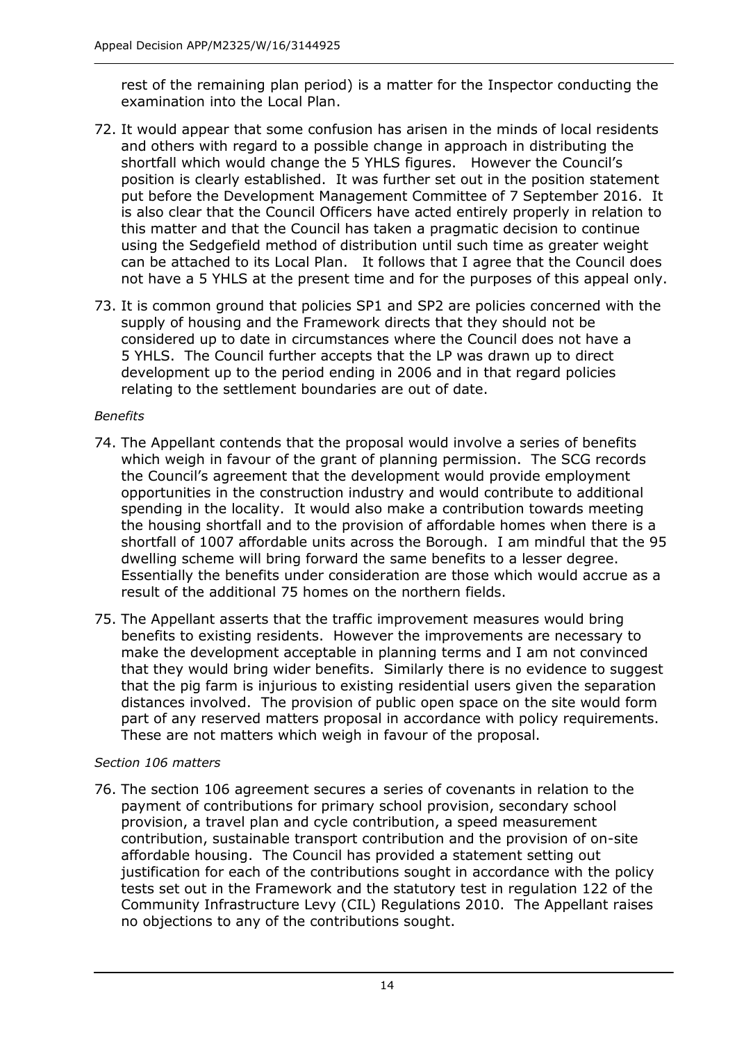rest of the remaining plan period) is a matter for the Inspector conducting the examination into the Local Plan.

- 72. It would appear that some confusion has arisen in the minds of local residents and others with regard to a possible change in approach in distributing the shortfall which would change the 5 YHLS figures. However the Council's position is clearly established. It was further set out in the position statement put before the Development Management Committee of 7 September 2016. It is also clear that the Council Officers have acted entirely properly in relation to this matter and that the Council has taken a pragmatic decision to continue using the Sedgefield method of distribution until such time as greater weight can be attached to its Local Plan. It follows that I agree that the Council does not have a 5 YHLS at the present time and for the purposes of this appeal only.
- 73. It is common ground that policies SP1 and SP2 are policies concerned with the supply of housing and the Framework directs that they should not be considered up to date in circumstances where the Council does not have a 5 YHLS. The Council further accepts that the LP was drawn up to direct development up to the period ending in 2006 and in that regard policies relating to the settlement boundaries are out of date.

## *Benefits*

- 74. The Appellant contends that the proposal would involve a series of benefits which weigh in favour of the grant of planning permission. The SCG records the Council's agreement that the development would provide employment opportunities in the construction industry and would contribute to additional spending in the locality. It would also make a contribution towards meeting the housing shortfall and to the provision of affordable homes when there is a shortfall of 1007 affordable units across the Borough. I am mindful that the 95 dwelling scheme will bring forward the same benefits to a lesser degree. Essentially the benefits under consideration are those which would accrue as a result of the additional 75 homes on the northern fields.
- 75. The Appellant asserts that the traffic improvement measures would bring benefits to existing residents. However the improvements are necessary to make the development acceptable in planning terms and I am not convinced that they would bring wider benefits. Similarly there is no evidence to suggest that the pig farm is injurious to existing residential users given the separation distances involved. The provision of public open space on the site would form part of any reserved matters proposal in accordance with policy requirements. These are not matters which weigh in favour of the proposal.

## *Section 106 matters*

76. The section 106 agreement secures a series of covenants in relation to the payment of contributions for primary school provision, secondary school provision, a travel plan and cycle contribution, a speed measurement contribution, sustainable transport contribution and the provision of on-site affordable housing. The Council has provided a statement setting out justification for each of the contributions sought in accordance with the policy tests set out in the Framework and the statutory test in regulation 122 of the Community Infrastructure Levy (CIL) Regulations 2010. The Appellant raises no objections to any of the contributions sought.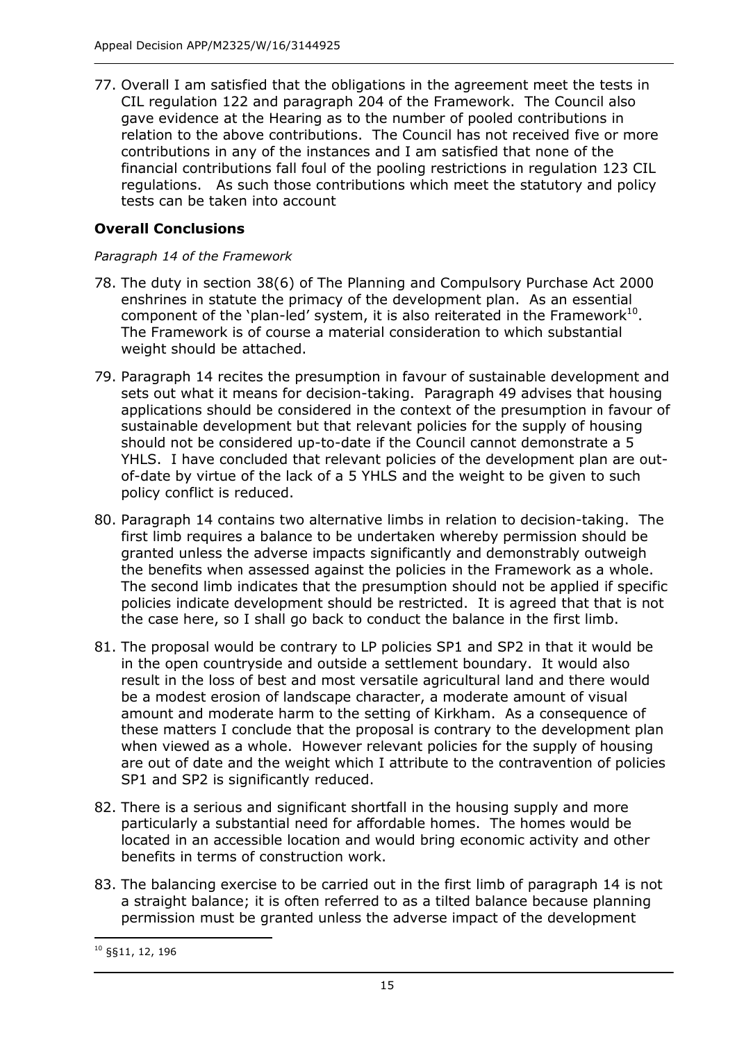77. Overall I am satisfied that the obligations in the agreement meet the tests in CIL regulation 122 and paragraph 204 of the Framework. The Council also gave evidence at the Hearing as to the number of pooled contributions in relation to the above contributions. The Council has not received five or more contributions in any of the instances and I am satisfied that none of the financial contributions fall foul of the pooling restrictions in regulation 123 CIL regulations. As such those contributions which meet the statutory and policy tests can be taken into account

## **Overall Conclusions**

#### *Paragraph 14 of the Framework*

- 78. The duty in section 38(6) of The Planning and Compulsory Purchase Act 2000 enshrines in statute the primacy of the development plan. As an essential component of the 'plan-led' system, it is also reiterated in the Framework $^{10}$ . The Framework is of course a material consideration to which substantial weight should be attached.
- 79. Paragraph 14 recites the presumption in favour of sustainable development and sets out what it means for decision-taking. Paragraph 49 advises that housing applications should be considered in the context of the presumption in favour of sustainable development but that relevant policies for the supply of housing should not be considered up-to-date if the Council cannot demonstrate a 5 YHLS. I have concluded that relevant policies of the development plan are outof-date by virtue of the lack of a 5 YHLS and the weight to be given to such policy conflict is reduced.
- 80. Paragraph 14 contains two alternative limbs in relation to decision-taking. The first limb requires a balance to be undertaken whereby permission should be granted unless the adverse impacts significantly and demonstrably outweigh the benefits when assessed against the policies in the Framework as a whole. The second limb indicates that the presumption should not be applied if specific policies indicate development should be restricted. It is agreed that that is not the case here, so I shall go back to conduct the balance in the first limb.
- 81. The proposal would be contrary to LP policies SP1 and SP2 in that it would be in the open countryside and outside a settlement boundary. It would also result in the loss of best and most versatile agricultural land and there would be a modest erosion of landscape character, a moderate amount of visual amount and moderate harm to the setting of Kirkham. As a consequence of these matters I conclude that the proposal is contrary to the development plan when viewed as a whole. However relevant policies for the supply of housing are out of date and the weight which I attribute to the contravention of policies SP1 and SP2 is significantly reduced.
- 82. There is a serious and significant shortfall in the housing supply and more particularly a substantial need for affordable homes. The homes would be located in an accessible location and would bring economic activity and other benefits in terms of construction work.
- 83. The balancing exercise to be carried out in the first limb of paragraph 14 is not a straight balance; it is often referred to as a tilted balance because planning permission must be granted unless the adverse impact of the development

-

<sup>10</sup> §§11, 12, 196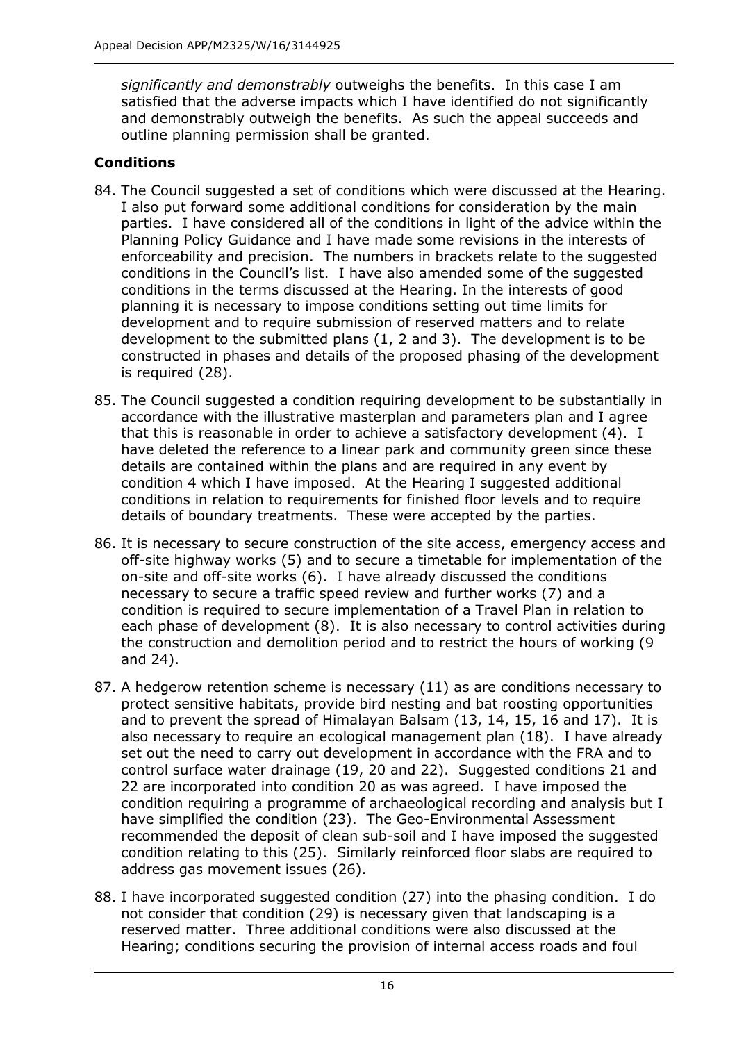*significantly and demonstrably* outweighs the benefits. In this case I am satisfied that the adverse impacts which I have identified do not significantly and demonstrably outweigh the benefits. As such the appeal succeeds and outline planning permission shall be granted.

## **Conditions**

- 84. The Council suggested a set of conditions which were discussed at the Hearing. I also put forward some additional conditions for consideration by the main parties. I have considered all of the conditions in light of the advice within the Planning Policy Guidance and I have made some revisions in the interests of enforceability and precision. The numbers in brackets relate to the suggested conditions in the Council's list. I have also amended some of the suggested conditions in the terms discussed at the Hearing. In the interests of good planning it is necessary to impose conditions setting out time limits for development and to require submission of reserved matters and to relate development to the submitted plans (1, 2 and 3). The development is to be constructed in phases and details of the proposed phasing of the development is required (28).
- 85. The Council suggested a condition requiring development to be substantially in accordance with the illustrative masterplan and parameters plan and I agree that this is reasonable in order to achieve a satisfactory development (4). I have deleted the reference to a linear park and community green since these details are contained within the plans and are required in any event by condition 4 which I have imposed. At the Hearing I suggested additional conditions in relation to requirements for finished floor levels and to require details of boundary treatments. These were accepted by the parties.
- 86. It is necessary to secure construction of the site access, emergency access and off-site highway works (5) and to secure a timetable for implementation of the on-site and off-site works (6). I have already discussed the conditions necessary to secure a traffic speed review and further works (7) and a condition is required to secure implementation of a Travel Plan in relation to each phase of development (8). It is also necessary to control activities during the construction and demolition period and to restrict the hours of working (9 and 24).
- 87. A hedgerow retention scheme is necessary (11) as are conditions necessary to protect sensitive habitats, provide bird nesting and bat roosting opportunities and to prevent the spread of Himalayan Balsam (13, 14, 15, 16 and 17). It is also necessary to require an ecological management plan (18). I have already set out the need to carry out development in accordance with the FRA and to control surface water drainage (19, 20 and 22). Suggested conditions 21 and 22 are incorporated into condition 20 as was agreed. I have imposed the condition requiring a programme of archaeological recording and analysis but I have simplified the condition (23). The Geo-Environmental Assessment recommended the deposit of clean sub-soil and I have imposed the suggested condition relating to this (25). Similarly reinforced floor slabs are required to address gas movement issues (26).
- 88. I have incorporated suggested condition (27) into the phasing condition. I do not consider that condition (29) is necessary given that landscaping is a reserved matter. Three additional conditions were also discussed at the Hearing; conditions securing the provision of internal access roads and foul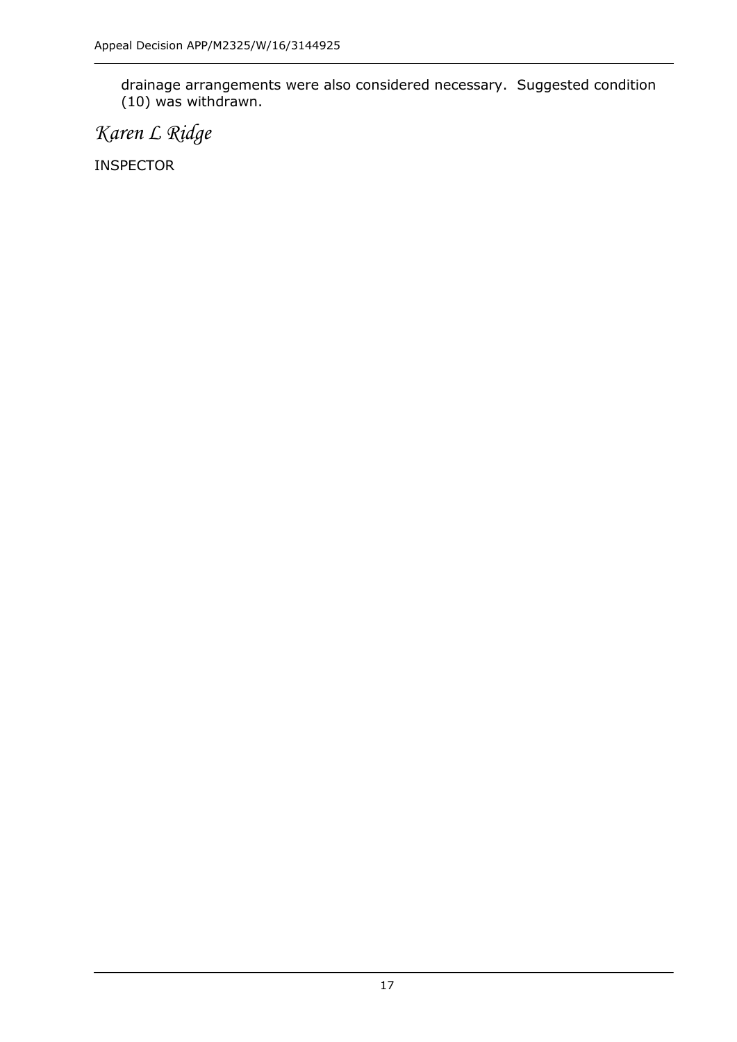drainage arrangements were also considered necessary. Suggested condition (10) was withdrawn.

*Karen L Ridge*

INSPECTOR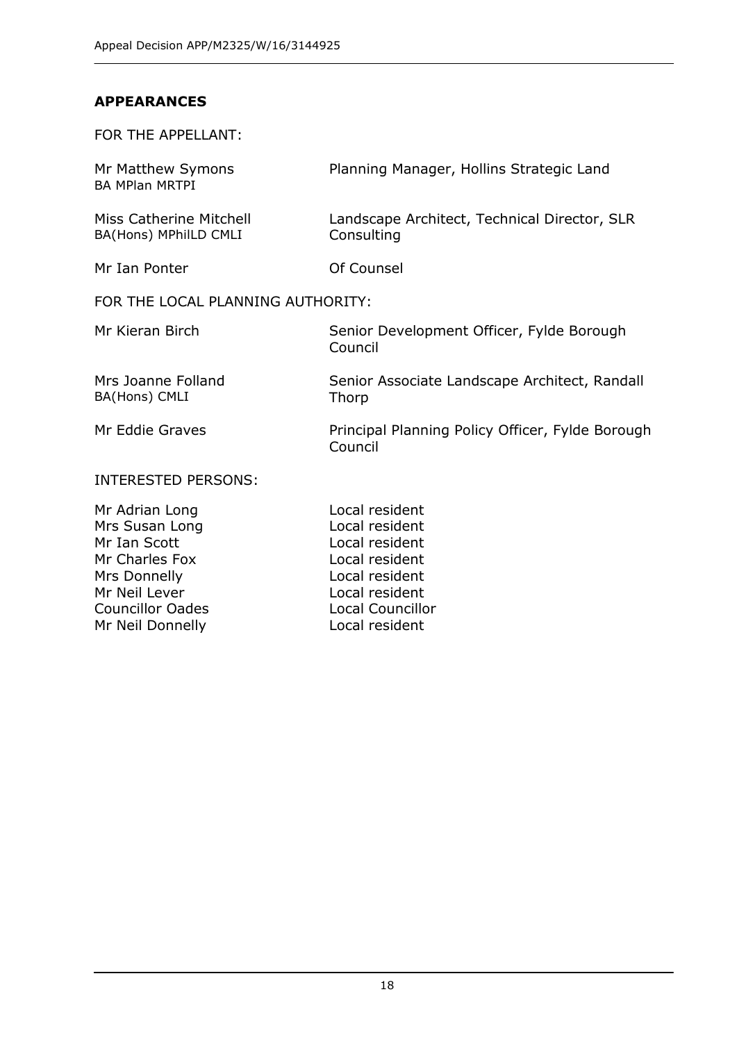Mr Neil Lever **Local resident** Councillor Oades Local Councillor Mr Neil Donnelly **Local resident** 

## **APPEARANCES**

FOR THE APPELLANT:

| Mr Matthew Symons<br><b>BA MPlan MRTPI</b>                                         | Planning Manager, Hollins Strategic Land                                               |
|------------------------------------------------------------------------------------|----------------------------------------------------------------------------------------|
| Miss Catherine Mitchell<br>BA(Hons) MPhilLD CMLI                                   | Landscape Architect, Technical Director, SLR<br>Consulting                             |
| Mr Ian Ponter                                                                      | Of Counsel                                                                             |
| FOR THE LOCAL PLANNING AUTHORITY:                                                  |                                                                                        |
| Mr Kieran Birch                                                                    | Senior Development Officer, Fylde Borough<br>Council                                   |
| Mrs Joanne Folland<br>BA(Hons) CMLI                                                | Senior Associate Landscape Architect, Randall<br>Thorp                                 |
| Mr Eddie Graves                                                                    | Principal Planning Policy Officer, Fylde Borough<br>Council                            |
| <b>INTERESTED PERSONS:</b>                                                         |                                                                                        |
| Mr Adrian Long<br>Mrs Susan Long<br>Mr Ian Scott<br>Mr Charles Fox<br>Mrs Donnelly | Local resident<br>Local resident<br>Local resident<br>Local resident<br>Local resident |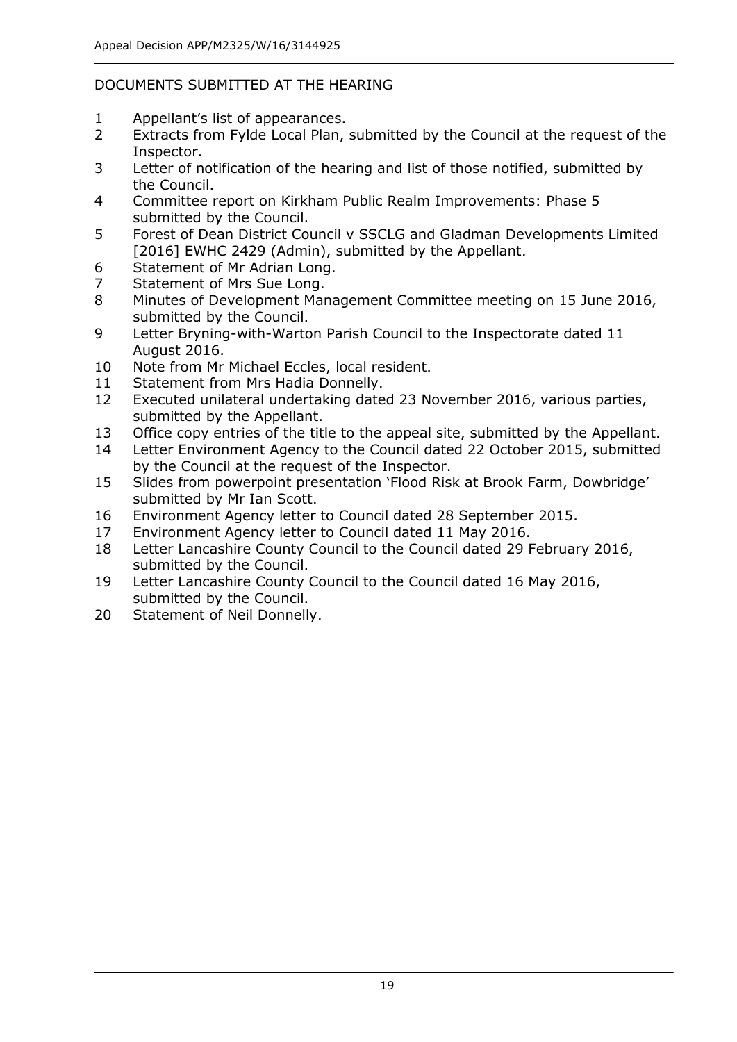## DOCUMENTS SUBMITTED AT THE HEARING

- 1 Appellant's list of appearances.
- 2 Extracts from Fylde Local Plan, submitted by the Council at the request of the Inspector.
- 3 Letter of notification of the hearing and list of those notified, submitted by the Council.
- 4 Committee report on Kirkham Public Realm Improvements: Phase 5 submitted by the Council.
- 5 Forest of Dean District Council v SSCLG and Gladman Developments Limited [2016] EWHC 2429 (Admin), submitted by the Appellant.
- 6 Statement of Mr Adrian Long.
- 7 Statement of Mrs Sue Long.
- 8 Minutes of Development Management Committee meeting on 15 June 2016, submitted by the Council.
- 9 Letter Bryning-with-Warton Parish Council to the Inspectorate dated 11 August 2016.
- 10 Note from Mr Michael Eccles, local resident.
- 11 Statement from Mrs Hadia Donnelly.
- 12 Executed unilateral undertaking dated 23 November 2016, various parties, submitted by the Appellant.
- 13 Office copy entries of the title to the appeal site, submitted by the Appellant.
- 14 Letter Environment Agency to the Council dated 22 October 2015, submitted by the Council at the request of the Inspector.
- 15 Slides from powerpoint presentation 'Flood Risk at Brook Farm, Dowbridge' submitted by Mr Ian Scott.
- 16 Environment Agency letter to Council dated 28 September 2015.
- 17 Environment Agency letter to Council dated 11 May 2016.
- 18 Letter Lancashire County Council to the Council dated 29 February 2016, submitted by the Council.
- 19 Letter Lancashire County Council to the Council dated 16 May 2016, submitted by the Council.
- 20 Statement of Neil Donnelly.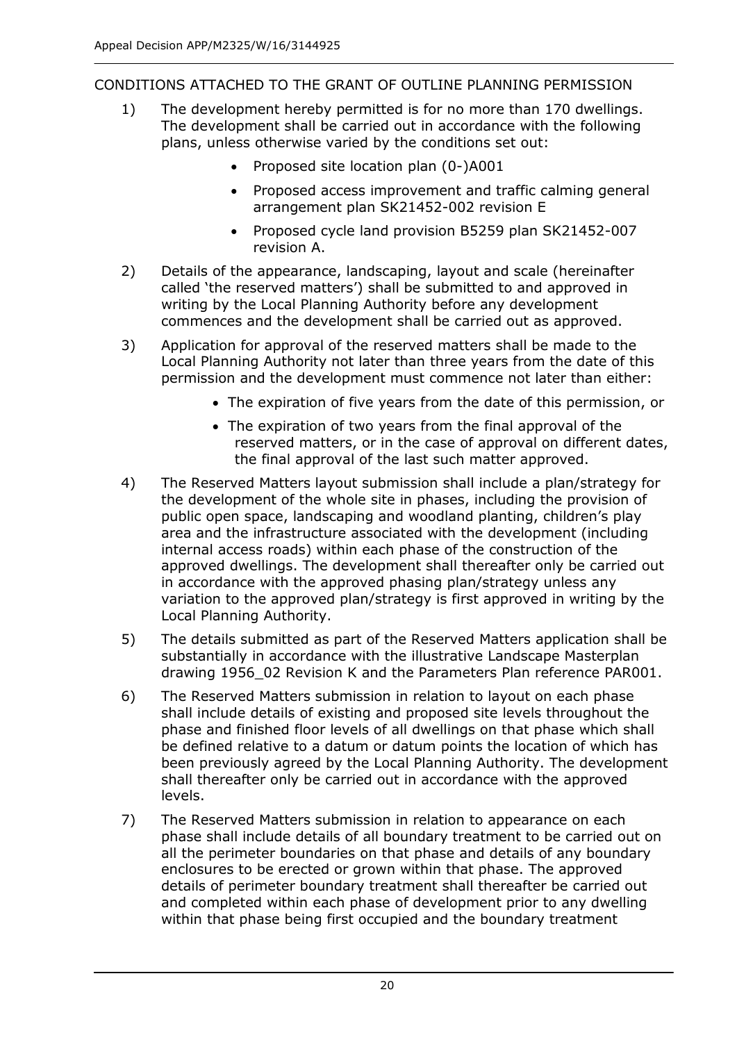CONDITIONS ATTACHED TO THE GRANT OF OUTLINE PLANNING PERMISSION

- 1) The development hereby permitted is for no more than 170 dwellings. The development shall be carried out in accordance with the following plans, unless otherwise varied by the conditions set out:
	- Proposed site location plan (0-)A001
	- Proposed access improvement and traffic calming general arrangement plan SK21452-002 revision E
	- Proposed cycle land provision B5259 plan SK21452-007 revision A.
- 2) Details of the appearance, landscaping, layout and scale (hereinafter called 'the reserved matters') shall be submitted to and approved in writing by the Local Planning Authority before any development commences and the development shall be carried out as approved.
- 3) Application for approval of the reserved matters shall be made to the Local Planning Authority not later than three years from the date of this permission and the development must commence not later than either:
	- The expiration of five years from the date of this permission, or
	- The expiration of two years from the final approval of the reserved matters, or in the case of approval on different dates, the final approval of the last such matter approved.
- 4) The Reserved Matters layout submission shall include a plan/strategy for the development of the whole site in phases, including the provision of public open space, landscaping and woodland planting, children's play area and the infrastructure associated with the development (including internal access roads) within each phase of the construction of the approved dwellings. The development shall thereafter only be carried out in accordance with the approved phasing plan/strategy unless any variation to the approved plan/strategy is first approved in writing by the Local Planning Authority.
- 5) The details submitted as part of the Reserved Matters application shall be substantially in accordance with the illustrative Landscape Masterplan drawing 1956\_02 Revision K and the Parameters Plan reference PAR001.
- 6) The Reserved Matters submission in relation to layout on each phase shall include details of existing and proposed site levels throughout the phase and finished floor levels of all dwellings on that phase which shall be defined relative to a datum or datum points the location of which has been previously agreed by the Local Planning Authority. The development shall thereafter only be carried out in accordance with the approved levels.
- 7) The Reserved Matters submission in relation to appearance on each phase shall include details of all boundary treatment to be carried out on all the perimeter boundaries on that phase and details of any boundary enclosures to be erected or grown within that phase. The approved details of perimeter boundary treatment shall thereafter be carried out and completed within each phase of development prior to any dwelling within that phase being first occupied and the boundary treatment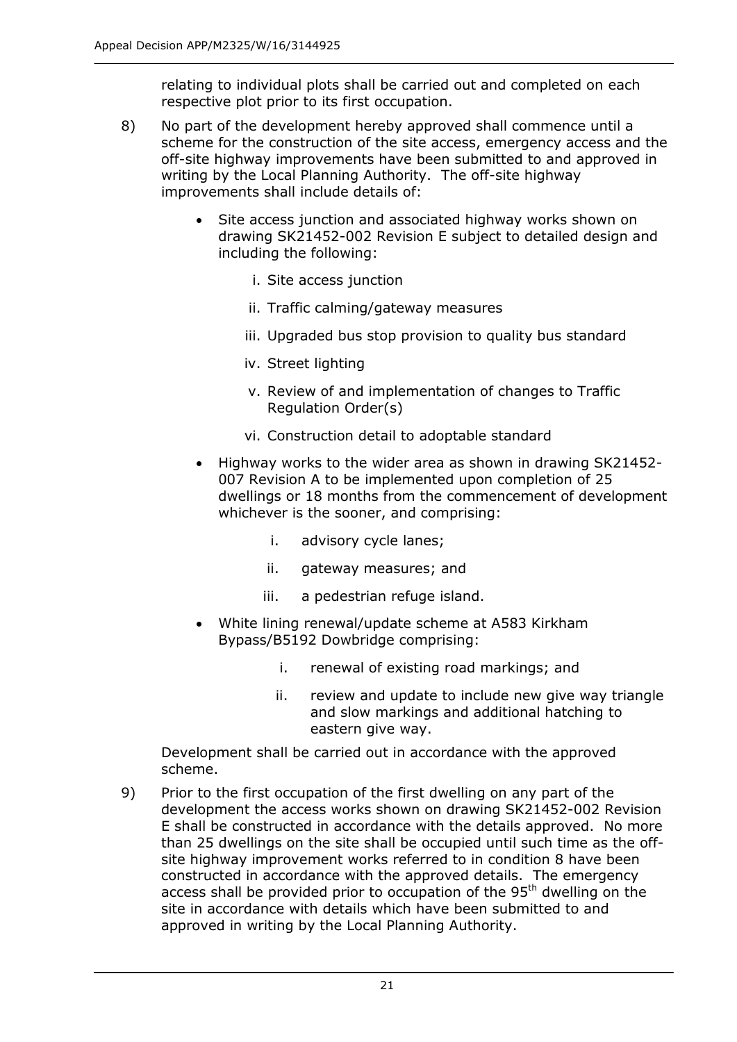relating to individual plots shall be carried out and completed on each respective plot prior to its first occupation.

- 8) No part of the development hereby approved shall commence until a scheme for the construction of the site access, emergency access and the off-site highway improvements have been submitted to and approved in writing by the Local Planning Authority. The off-site highway improvements shall include details of:
	- Site access junction and associated highway works shown on drawing SK21452-002 Revision E subject to detailed design and including the following:
		- i. Site access junction
		- ii. Traffic calming/gateway measures
		- iii. Upgraded bus stop provision to quality bus standard
		- iv. Street lighting
		- v. Review of and implementation of changes to Traffic Regulation Order(s)
		- vi. Construction detail to adoptable standard
	- Highway works to the wider area as shown in drawing SK21452- 007 Revision A to be implemented upon completion of 25 dwellings or 18 months from the commencement of development whichever is the sooner, and comprising:
		- i. advisory cycle lanes;
		- ii. gateway measures; and
		- iii. a pedestrian refuge island.
	- White lining renewal/update scheme at A583 Kirkham Bypass/B5192 Dowbridge comprising:
		- i. renewal of existing road markings; and
		- ii. review and update to include new give way triangle and slow markings and additional hatching to eastern give way.

Development shall be carried out in accordance with the approved scheme.

9) Prior to the first occupation of the first dwelling on any part of the development the access works shown on drawing SK21452-002 Revision E shall be constructed in accordance with the details approved. No more than 25 dwellings on the site shall be occupied until such time as the offsite highway improvement works referred to in condition 8 have been constructed in accordance with the approved details. The emergency access shall be provided prior to occupation of the 95<sup>th</sup> dwelling on the site in accordance with details which have been submitted to and approved in writing by the Local Planning Authority.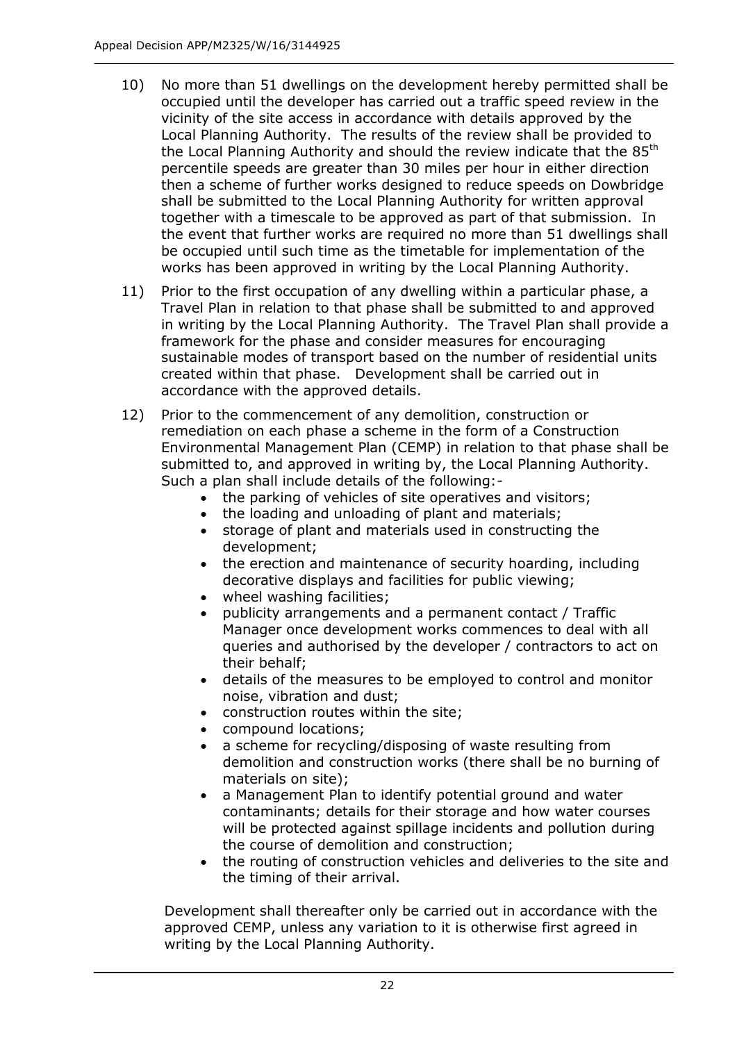- 10) No more than 51 dwellings on the development hereby permitted shall be occupied until the developer has carried out a traffic speed review in the vicinity of the site access in accordance with details approved by the Local Planning Authority. The results of the review shall be provided to the Local Planning Authority and should the review indicate that the 85<sup>th</sup> percentile speeds are greater than 30 miles per hour in either direction then a scheme of further works designed to reduce speeds on Dowbridge shall be submitted to the Local Planning Authority for written approval together with a timescale to be approved as part of that submission. In the event that further works are required no more than 51 dwellings shall be occupied until such time as the timetable for implementation of the works has been approved in writing by the Local Planning Authority.
- 11) Prior to the first occupation of any dwelling within a particular phase, a Travel Plan in relation to that phase shall be submitted to and approved in writing by the Local Planning Authority. The Travel Plan shall provide a framework for the phase and consider measures for encouraging sustainable modes of transport based on the number of residential units created within that phase. Development shall be carried out in accordance with the approved details.
- 12) Prior to the commencement of any demolition, construction or remediation on each phase a scheme in the form of a Construction Environmental Management Plan (CEMP) in relation to that phase shall be submitted to, and approved in writing by, the Local Planning Authority. Such a plan shall include details of the following:-
	- the parking of vehicles of site operatives and visitors;
	- the loading and unloading of plant and materials;
	- storage of plant and materials used in constructing the development;
	- the erection and maintenance of security hoarding, including decorative displays and facilities for public viewing;
	- wheel washing facilities;
	- publicity arrangements and a permanent contact / Traffic Manager once development works commences to deal with all queries and authorised by the developer / contractors to act on their behalf;
	- details of the measures to be employed to control and monitor noise, vibration and dust;
	- construction routes within the site;
	- compound locations;
	- a scheme for recycling/disposing of waste resulting from demolition and construction works (there shall be no burning of materials on site);
	- a Management Plan to identify potential ground and water contaminants; details for their storage and how water courses will be protected against spillage incidents and pollution during the course of demolition and construction;
	- the routing of construction vehicles and deliveries to the site and the timing of their arrival.

Development shall thereafter only be carried out in accordance with the approved CEMP, unless any variation to it is otherwise first agreed in writing by the Local Planning Authority.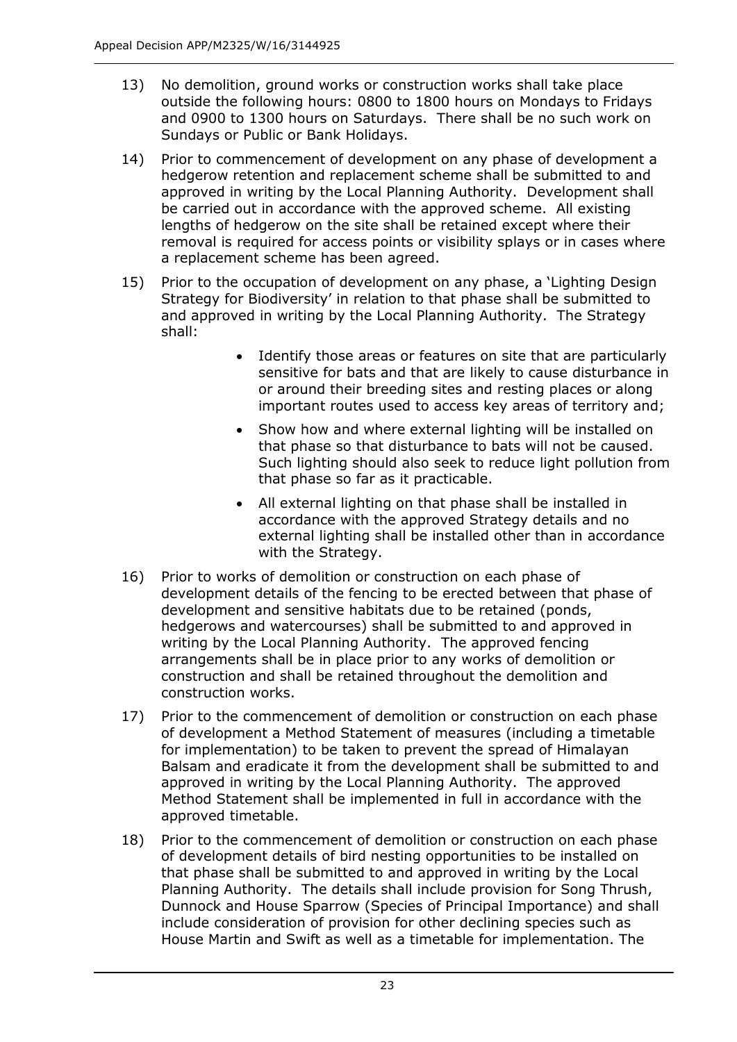- 13) No demolition, ground works or construction works shall take place outside the following hours: 0800 to 1800 hours on Mondays to Fridays and 0900 to 1300 hours on Saturdays. There shall be no such work on Sundays or Public or Bank Holidays.
- 14) Prior to commencement of development on any phase of development a hedgerow retention and replacement scheme shall be submitted to and approved in writing by the Local Planning Authority. Development shall be carried out in accordance with the approved scheme. All existing lengths of hedgerow on the site shall be retained except where their removal is required for access points or visibility splays or in cases where a replacement scheme has been agreed.
- 15) Prior to the occupation of development on any phase, a 'Lighting Design Strategy for Biodiversity' in relation to that phase shall be submitted to and approved in writing by the Local Planning Authority. The Strategy shall:
	- Identify those areas or features on site that are particularly sensitive for bats and that are likely to cause disturbance in or around their breeding sites and resting places or along important routes used to access key areas of territory and;
	- Show how and where external lighting will be installed on that phase so that disturbance to bats will not be caused. Such lighting should also seek to reduce light pollution from that phase so far as it practicable.
	- All external lighting on that phase shall be installed in accordance with the approved Strategy details and no external lighting shall be installed other than in accordance with the Strategy.
- 16) Prior to works of demolition or construction on each phase of development details of the fencing to be erected between that phase of development and sensitive habitats due to be retained (ponds, hedgerows and watercourses) shall be submitted to and approved in writing by the Local Planning Authority. The approved fencing arrangements shall be in place prior to any works of demolition or construction and shall be retained throughout the demolition and construction works.
- 17) Prior to the commencement of demolition or construction on each phase of development a Method Statement of measures (including a timetable for implementation) to be taken to prevent the spread of Himalayan Balsam and eradicate it from the development shall be submitted to and approved in writing by the Local Planning Authority. The approved Method Statement shall be implemented in full in accordance with the approved timetable.
- 18) Prior to the commencement of demolition or construction on each phase of development details of bird nesting opportunities to be installed on that phase shall be submitted to and approved in writing by the Local Planning Authority. The details shall include provision for Song Thrush, Dunnock and House Sparrow (Species of Principal Importance) and shall include consideration of provision for other declining species such as House Martin and Swift as well as a timetable for implementation. The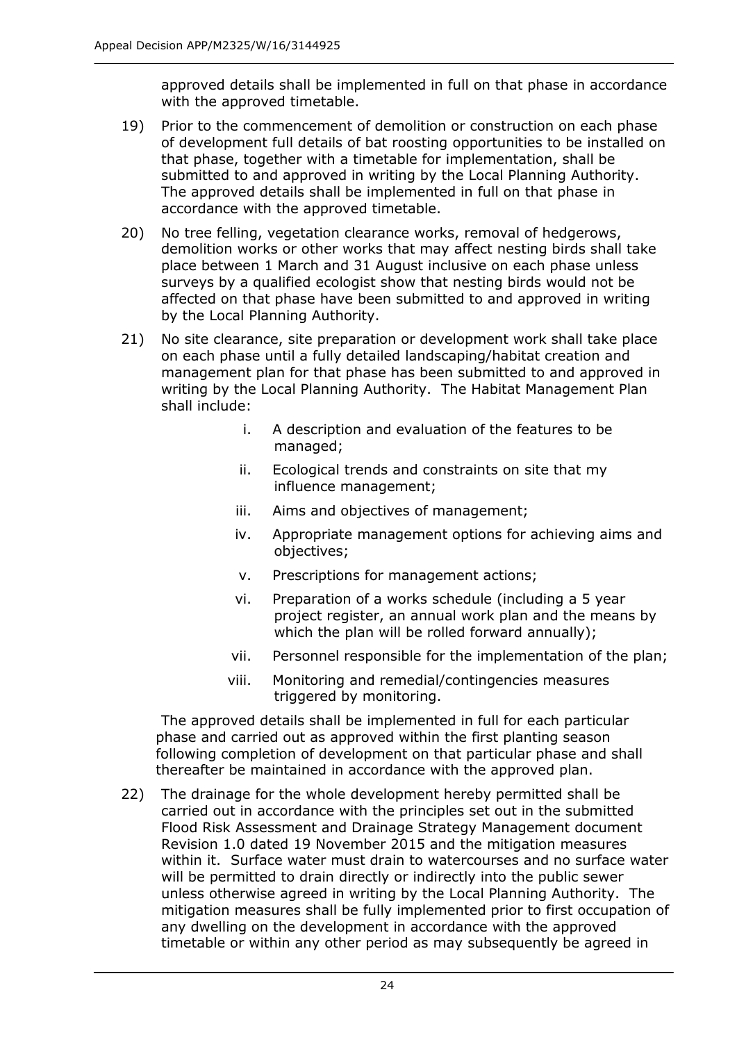approved details shall be implemented in full on that phase in accordance with the approved timetable.

- 19) Prior to the commencement of demolition or construction on each phase of development full details of bat roosting opportunities to be installed on that phase, together with a timetable for implementation, shall be submitted to and approved in writing by the Local Planning Authority. The approved details shall be implemented in full on that phase in accordance with the approved timetable.
- 20) No tree felling, vegetation clearance works, removal of hedgerows, demolition works or other works that may affect nesting birds shall take place between 1 March and 31 August inclusive on each phase unless surveys by a qualified ecologist show that nesting birds would not be affected on that phase have been submitted to and approved in writing by the Local Planning Authority.
- 21) No site clearance, site preparation or development work shall take place on each phase until a fully detailed landscaping/habitat creation and management plan for that phase has been submitted to and approved in writing by the Local Planning Authority. The Habitat Management Plan shall include:
	- i. A description and evaluation of the features to be managed;
	- ii. Ecological trends and constraints on site that my influence management;
	- iii. Aims and objectives of management;
	- iv. Appropriate management options for achieving aims and objectives;
	- v. Prescriptions for management actions;
	- vi. Preparation of a works schedule (including a 5 year project register, an annual work plan and the means by which the plan will be rolled forward annually);
	- vii. Personnel responsible for the implementation of the plan;
	- viii. Monitoring and remedial/contingencies measures triggered by monitoring.

 The approved details shall be implemented in full for each particular phase and carried out as approved within the first planting season following completion of development on that particular phase and shall thereafter be maintained in accordance with the approved plan.

22) The drainage for the whole development hereby permitted shall be carried out in accordance with the principles set out in the submitted Flood Risk Assessment and Drainage Strategy Management document Revision 1.0 dated 19 November 2015 and the mitigation measures within it. Surface water must drain to watercourses and no surface water will be permitted to drain directly or indirectly into the public sewer unless otherwise agreed in writing by the Local Planning Authority. The mitigation measures shall be fully implemented prior to first occupation of any dwelling on the development in accordance with the approved timetable or within any other period as may subsequently be agreed in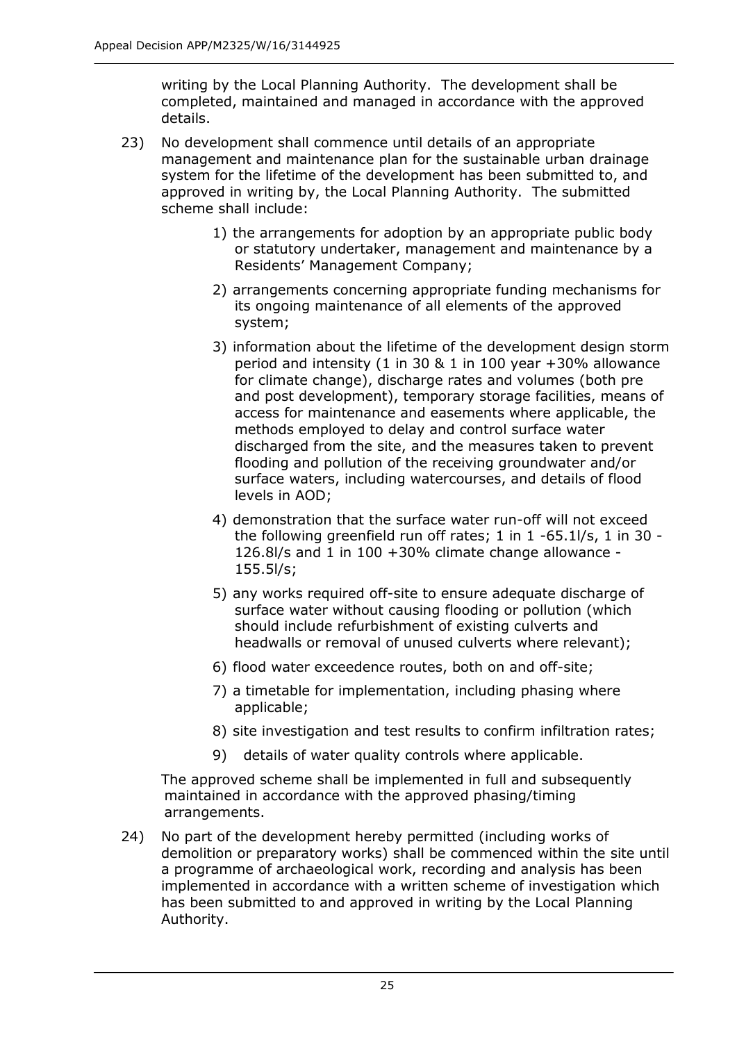writing by the Local Planning Authority. The development shall be completed, maintained and managed in accordance with the approved details.

- 23) No development shall commence until details of an appropriate management and maintenance plan for the sustainable urban drainage system for the lifetime of the development has been submitted to, and approved in writing by, the Local Planning Authority. The submitted scheme shall include:
	- 1) the arrangements for adoption by an appropriate public body or statutory undertaker, management and maintenance by a Residents' Management Company;
	- 2) arrangements concerning appropriate funding mechanisms for its ongoing maintenance of all elements of the approved system;
	- 3) information about the lifetime of the development design storm period and intensity (1 in 30 & 1 in 100 year +30% allowance for climate change), discharge rates and volumes (both pre and post development), temporary storage facilities, means of access for maintenance and easements where applicable, the methods employed to delay and control surface water discharged from the site, and the measures taken to prevent flooding and pollution of the receiving groundwater and/or surface waters, including watercourses, and details of flood levels in AOD;
	- 4) demonstration that the surface water run-off will not exceed the following greenfield run off rates; 1 in 1 -65.1l/s, 1 in 30 - 126.8l/s and 1 in 100 +30% climate change allowance - 155.5l/s;
	- 5) any works required off-site to ensure adequate discharge of surface water without causing flooding or pollution (which should include refurbishment of existing culverts and headwalls or removal of unused culverts where relevant);
	- 6) flood water exceedence routes, both on and off-site;
	- 7) a timetable for implementation, including phasing where applicable;
	- 8) site investigation and test results to confirm infiltration rates;
	- 9) details of water quality controls where applicable.

 The approved scheme shall be implemented in full and subsequently maintained in accordance with the approved phasing/timing arrangements.

24) No part of the development hereby permitted (including works of demolition or preparatory works) shall be commenced within the site until a programme of archaeological work, recording and analysis has been implemented in accordance with a written scheme of investigation which has been submitted to and approved in writing by the Local Planning Authority.